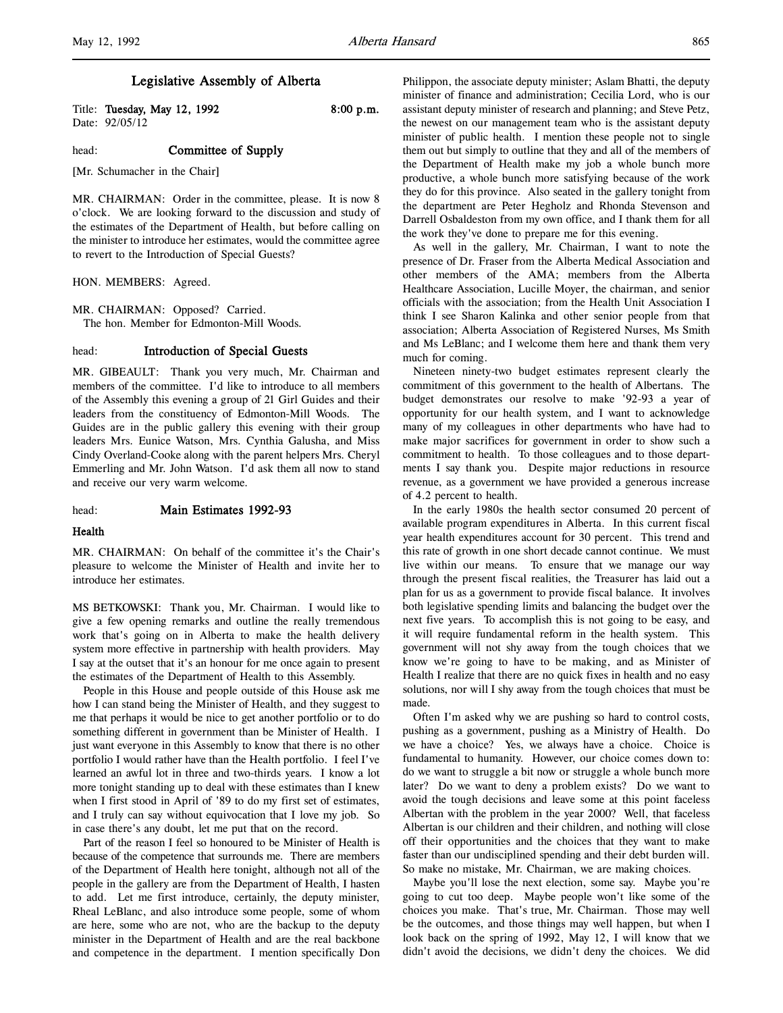# Legislative Assembly of Alberta

Title: Tuesday, May 12, 1992 8:00 p.m. Date: 92/05/12

# head: **Committee of Supply**

[Mr. Schumacher in the Chair]

MR. CHAIRMAN: Order in the committee, please. It is now 8 o'clock. We are looking forward to the discussion and study of the estimates of the Department of Health, but before calling on the minister to introduce her estimates, would the committee agree to revert to the Introduction of Special Guests?

HON. MEMBERS: Agreed.

MR. CHAIRMAN: Opposed? Carried. The hon. Member for Edmonton-Mill Woods.

## head: Introduction of Special Guests

MR. GIBEAULT: Thank you very much, Mr. Chairman and members of the committee. I'd like to introduce to all members of the Assembly this evening a group of 21 Girl Guides and their leaders from the constituency of Edmonton-Mill Woods. The Guides are in the public gallery this evening with their group leaders Mrs. Eunice Watson, Mrs. Cynthia Galusha, and Miss Cindy Overland-Cooke along with the parent helpers Mrs. Cheryl Emmerling and Mr. John Watson. I'd ask them all now to stand and receive our very warm welcome.

### head: Main Estimates 1992-93

#### Health

MR. CHAIRMAN: On behalf of the committee it's the Chair's pleasure to welcome the Minister of Health and invite her to introduce her estimates.

MS BETKOWSKI: Thank you, Mr. Chairman. I would like to give a few opening remarks and outline the really tremendous work that's going on in Alberta to make the health delivery system more effective in partnership with health providers. May I say at the outset that it's an honour for me once again to present the estimates of the Department of Health to this Assembly.

People in this House and people outside of this House ask me how I can stand being the Minister of Health, and they suggest to me that perhaps it would be nice to get another portfolio or to do something different in government than be Minister of Health. I just want everyone in this Assembly to know that there is no other portfolio I would rather have than the Health portfolio. I feel I've learned an awful lot in three and two-thirds years. I know a lot more tonight standing up to deal with these estimates than I knew when I first stood in April of '89 to do my first set of estimates, and I truly can say without equivocation that I love my job. So in case there's any doubt, let me put that on the record.

Part of the reason I feel so honoured to be Minister of Health is because of the competence that surrounds me. There are members of the Department of Health here tonight, although not all of the people in the gallery are from the Department of Health, I hasten to add. Let me first introduce, certainly, the deputy minister, Rheal LeBlanc, and also introduce some people, some of whom are here, some who are not, who are the backup to the deputy minister in the Department of Health and are the real backbone and competence in the department. I mention specifically Don Philippon, the associate deputy minister; Aslam Bhatti, the deputy minister of finance and administration; Cecilia Lord, who is our assistant deputy minister of research and planning; and Steve Petz, the newest on our management team who is the assistant deputy minister of public health. I mention these people not to single them out but simply to outline that they and all of the members of the Department of Health make my job a whole bunch more productive, a whole bunch more satisfying because of the work they do for this province. Also seated in the gallery tonight from the department are Peter Hegholz and Rhonda Stevenson and Darrell Osbaldeston from my own office, and I thank them for all the work they've done to prepare me for this evening.

As well in the gallery, Mr. Chairman, I want to note the presence of Dr. Fraser from the Alberta Medical Association and other members of the AMA; members from the Alberta Healthcare Association, Lucille Moyer, the chairman, and senior officials with the association; from the Health Unit Association I think I see Sharon Kalinka and other senior people from that association; Alberta Association of Registered Nurses, Ms Smith and Ms LeBlanc; and I welcome them here and thank them very much for coming.

Nineteen ninety-two budget estimates represent clearly the commitment of this government to the health of Albertans. The budget demonstrates our resolve to make '92-93 a year of opportunity for our health system, and I want to acknowledge many of my colleagues in other departments who have had to make major sacrifices for government in order to show such a commitment to health. To those colleagues and to those departments I say thank you. Despite major reductions in resource revenue, as a government we have provided a generous increase of 4.2 percent to health.

In the early 1980s the health sector consumed 20 percent of available program expenditures in Alberta. In this current fiscal year health expenditures account for 30 percent. This trend and this rate of growth in one short decade cannot continue. We must live within our means. To ensure that we manage our way through the present fiscal realities, the Treasurer has laid out a plan for us as a government to provide fiscal balance. It involves both legislative spending limits and balancing the budget over the next five years. To accomplish this is not going to be easy, and it will require fundamental reform in the health system. This government will not shy away from the tough choices that we know we're going to have to be making, and as Minister of Health I realize that there are no quick fixes in health and no easy solutions, nor will I shy away from the tough choices that must be made.

Often I'm asked why we are pushing so hard to control costs, pushing as a government, pushing as a Ministry of Health. Do we have a choice? Yes, we always have a choice. Choice is fundamental to humanity. However, our choice comes down to: do we want to struggle a bit now or struggle a whole bunch more later? Do we want to deny a problem exists? Do we want to avoid the tough decisions and leave some at this point faceless Albertan with the problem in the year 2000? Well, that faceless Albertan is our children and their children, and nothing will close off their opportunities and the choices that they want to make faster than our undisciplined spending and their debt burden will. So make no mistake, Mr. Chairman, we are making choices.

Maybe you'll lose the next election, some say. Maybe you're going to cut too deep. Maybe people won't like some of the choices you make. That's true, Mr. Chairman. Those may well be the outcomes, and those things may well happen, but when I look back on the spring of 1992, May 12, I will know that we didn't avoid the decisions, we didn't deny the choices. We did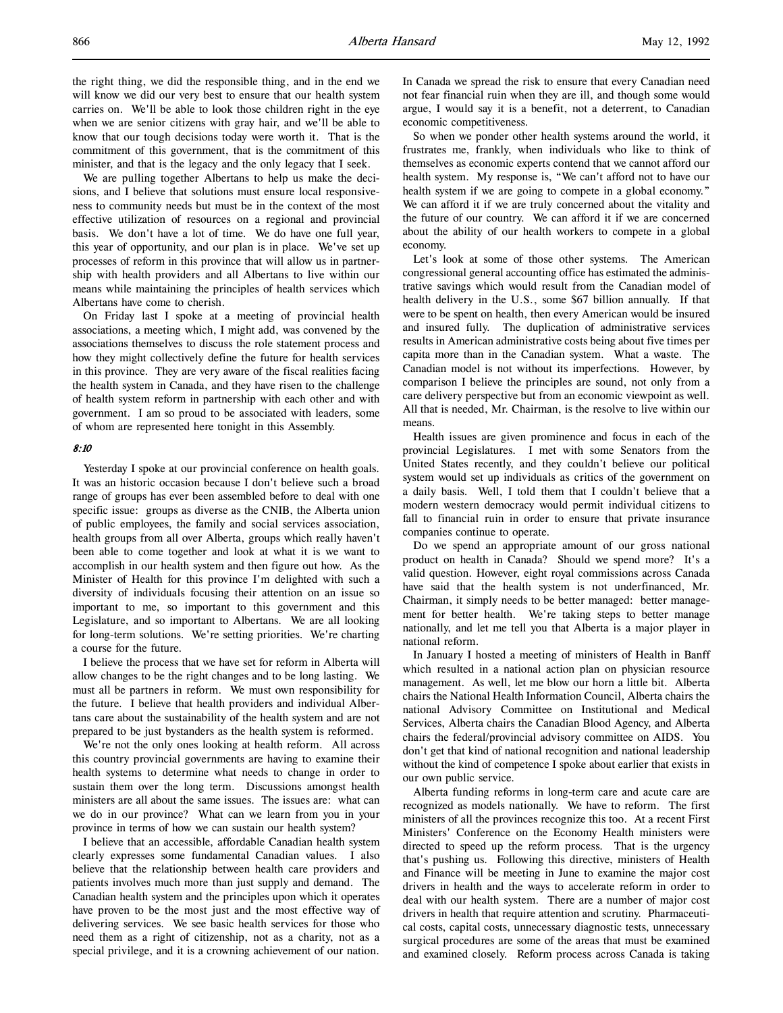the right thing, we did the responsible thing, and in the end we will know we did our very best to ensure that our health system carries on. We'll be able to look those children right in the eye when we are senior citizens with gray hair, and we'll be able to know that our tough decisions today were worth it. That is the commitment of this government, that is the commitment of this minister, and that is the legacy and the only legacy that I seek.

We are pulling together Albertans to help us make the decisions, and I believe that solutions must ensure local responsiveness to community needs but must be in the context of the most effective utilization of resources on a regional and provincial basis. We don't have a lot of time. We do have one full year, this year of opportunity, and our plan is in place. We've set up processes of reform in this province that will allow us in partnership with health providers and all Albertans to live within our means while maintaining the principles of health services which Albertans have come to cherish.

On Friday last I spoke at a meeting of provincial health associations, a meeting which, I might add, was convened by the associations themselves to discuss the role statement process and how they might collectively define the future for health services in this province. They are very aware of the fiscal realities facing the health system in Canada, and they have risen to the challenge of health system reform in partnership with each other and with government. I am so proud to be associated with leaders, some of whom are represented here tonight in this Assembly.

### 8:10

Yesterday I spoke at our provincial conference on health goals. It was an historic occasion because I don't believe such a broad range of groups has ever been assembled before to deal with one specific issue: groups as diverse as the CNIB, the Alberta union of public employees, the family and social services association, health groups from all over Alberta, groups which really haven't been able to come together and look at what it is we want to accomplish in our health system and then figure out how. As the Minister of Health for this province I'm delighted with such a diversity of individuals focusing their attention on an issue so important to me, so important to this government and this Legislature, and so important to Albertans. We are all looking for long-term solutions. We're setting priorities. We're charting a course for the future.

I believe the process that we have set for reform in Alberta will allow changes to be the right changes and to be long lasting. We must all be partners in reform. We must own responsibility for the future. I believe that health providers and individual Albertans care about the sustainability of the health system and are not prepared to be just bystanders as the health system is reformed.

We're not the only ones looking at health reform. All across this country provincial governments are having to examine their health systems to determine what needs to change in order to sustain them over the long term. Discussions amongst health ministers are all about the same issues. The issues are: what can we do in our province? What can we learn from you in your province in terms of how we can sustain our health system?

I believe that an accessible, affordable Canadian health system clearly expresses some fundamental Canadian values. I also believe that the relationship between health care providers and patients involves much more than just supply and demand. The Canadian health system and the principles upon which it operates have proven to be the most just and the most effective way of delivering services. We see basic health services for those who need them as a right of citizenship, not as a charity, not as a special privilege, and it is a crowning achievement of our nation.

In Canada we spread the risk to ensure that every Canadian need not fear financial ruin when they are ill, and though some would argue, I would say it is a benefit, not a deterrent, to Canadian economic competitiveness.

So when we ponder other health systems around the world, it frustrates me, frankly, when individuals who like to think of themselves as economic experts contend that we cannot afford our health system. My response is, "We can't afford not to have our health system if we are going to compete in a global economy." We can afford it if we are truly concerned about the vitality and the future of our country. We can afford it if we are concerned about the ability of our health workers to compete in a global economy.

Let's look at some of those other systems. The American congressional general accounting office has estimated the administrative savings which would result from the Canadian model of health delivery in the U.S., some \$67 billion annually. If that were to be spent on health, then every American would be insured and insured fully. The duplication of administrative services results in American administrative costs being about five times per capita more than in the Canadian system. What a waste. The Canadian model is not without its imperfections. However, by comparison I believe the principles are sound, not only from a care delivery perspective but from an economic viewpoint as well. All that is needed, Mr. Chairman, is the resolve to live within our means.

Health issues are given prominence and focus in each of the provincial Legislatures. I met with some Senators from the United States recently, and they couldn't believe our political system would set up individuals as critics of the government on a daily basis. Well, I told them that I couldn't believe that a modern western democracy would permit individual citizens to fall to financial ruin in order to ensure that private insurance companies continue to operate.

Do we spend an appropriate amount of our gross national product on health in Canada? Should we spend more? It's a valid question. However, eight royal commissions across Canada have said that the health system is not underfinanced, Mr. Chairman, it simply needs to be better managed: better management for better health. We're taking steps to better manage nationally, and let me tell you that Alberta is a major player in national reform.

In January I hosted a meeting of ministers of Health in Banff which resulted in a national action plan on physician resource management. As well, let me blow our horn a little bit. Alberta chairs the National Health Information Council, Alberta chairs the national Advisory Committee on Institutional and Medical Services, Alberta chairs the Canadian Blood Agency, and Alberta chairs the federal/provincial advisory committee on AIDS. You don't get that kind of national recognition and national leadership without the kind of competence I spoke about earlier that exists in our own public service.

Alberta funding reforms in long-term care and acute care are recognized as models nationally. We have to reform. The first ministers of all the provinces recognize this too. At a recent First Ministers' Conference on the Economy Health ministers were directed to speed up the reform process. That is the urgency that's pushing us. Following this directive, ministers of Health and Finance will be meeting in June to examine the major cost drivers in health and the ways to accelerate reform in order to deal with our health system. There are a number of major cost drivers in health that require attention and scrutiny. Pharmaceutical costs, capital costs, unnecessary diagnostic tests, unnecessary surgical procedures are some of the areas that must be examined and examined closely. Reform process across Canada is taking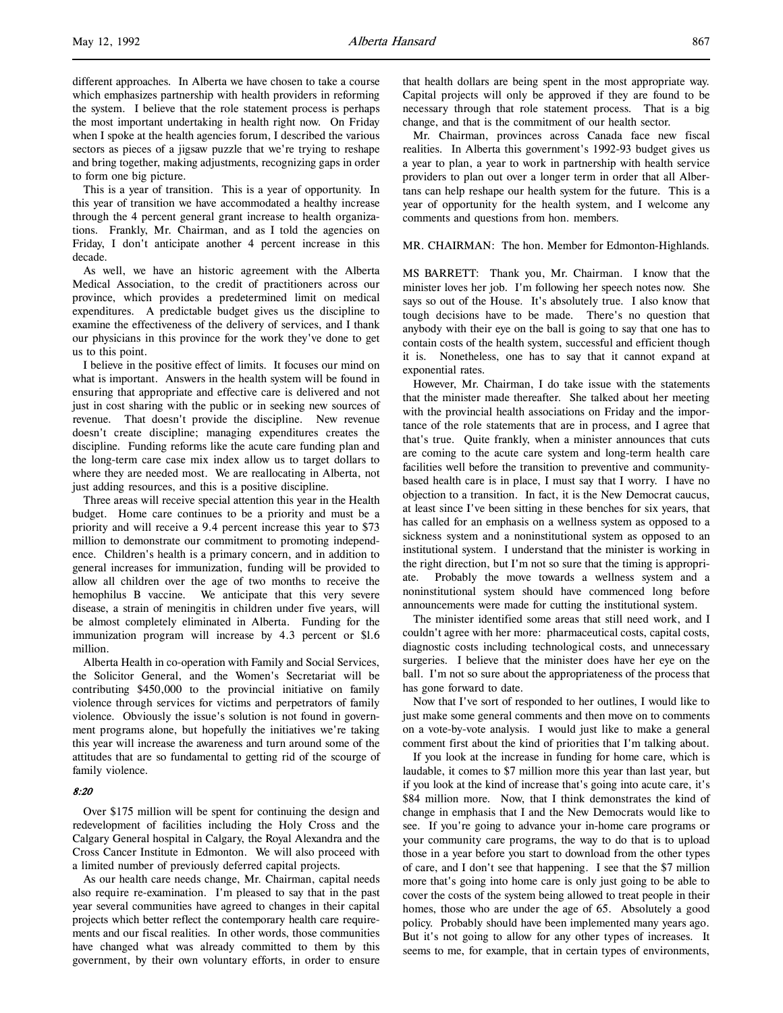different approaches. In Alberta we have chosen to take a course which emphasizes partnership with health providers in reforming the system. I believe that the role statement process is perhaps the most important undertaking in health right now. On Friday when I spoke at the health agencies forum, I described the various sectors as pieces of a jigsaw puzzle that we're trying to reshape and bring together, making adjustments, recognizing gaps in order to form one big picture.

This is a year of transition. This is a year of opportunity. In this year of transition we have accommodated a healthy increase through the 4 percent general grant increase to health organizations. Frankly, Mr. Chairman, and as I told the agencies on Friday, I don't anticipate another 4 percent increase in this decade.

As well, we have an historic agreement with the Alberta Medical Association, to the credit of practitioners across our province, which provides a predetermined limit on medical expenditures. A predictable budget gives us the discipline to examine the effectiveness of the delivery of services, and I thank our physicians in this province for the work they've done to get us to this point.

I believe in the positive effect of limits. It focuses our mind on what is important. Answers in the health system will be found in ensuring that appropriate and effective care is delivered and not just in cost sharing with the public or in seeking new sources of revenue. That doesn't provide the discipline. New revenue doesn't create discipline; managing expenditures creates the discipline. Funding reforms like the acute care funding plan and the long-term care case mix index allow us to target dollars to where they are needed most. We are reallocating in Alberta, not just adding resources, and this is a positive discipline.

Three areas will receive special attention this year in the Health budget. Home care continues to be a priority and must be a priority and will receive a 9.4 percent increase this year to \$73 million to demonstrate our commitment to promoting independence. Children's health is a primary concern, and in addition to general increases for immunization, funding will be provided to allow all children over the age of two months to receive the hemophilus B vaccine. We anticipate that this very severe disease, a strain of meningitis in children under five years, will be almost completely eliminated in Alberta. Funding for the immunization program will increase by 4.3 percent or \$l.6 million.

Alberta Health in co-operation with Family and Social Services, the Solicitor General, and the Women's Secretariat will be contributing \$450,000 to the provincial initiative on family violence through services for victims and perpetrators of family violence. Obviously the issue's solution is not found in government programs alone, but hopefully the initiatives we're taking this year will increase the awareness and turn around some of the attitudes that are so fundamental to getting rid of the scourge of family violence.

### 8:20

Over \$175 million will be spent for continuing the design and redevelopment of facilities including the Holy Cross and the Calgary General hospital in Calgary, the Royal Alexandra and the Cross Cancer Institute in Edmonton. We will also proceed with a limited number of previously deferred capital projects.

As our health care needs change, Mr. Chairman, capital needs also require re-examination. I'm pleased to say that in the past year several communities have agreed to changes in their capital projects which better reflect the contemporary health care requirements and our fiscal realities. In other words, those communities have changed what was already committed to them by this government, by their own voluntary efforts, in order to ensure

that health dollars are being spent in the most appropriate way. Capital projects will only be approved if they are found to be necessary through that role statement process. That is a big change, and that is the commitment of our health sector.

Mr. Chairman, provinces across Canada face new fiscal realities. In Alberta this government's 1992-93 budget gives us a year to plan, a year to work in partnership with health service providers to plan out over a longer term in order that all Albertans can help reshape our health system for the future. This is a year of opportunity for the health system, and I welcome any comments and questions from hon. members.

### MR. CHAIRMAN: The hon. Member for Edmonton-Highlands.

MS BARRETT: Thank you, Mr. Chairman. I know that the minister loves her job. I'm following her speech notes now. She says so out of the House. It's absolutely true. I also know that tough decisions have to be made. There's no question that anybody with their eye on the ball is going to say that one has to contain costs of the health system, successful and efficient though it is. Nonetheless, one has to say that it cannot expand at exponential rates.

However, Mr. Chairman, I do take issue with the statements that the minister made thereafter. She talked about her meeting with the provincial health associations on Friday and the importance of the role statements that are in process, and I agree that that's true. Quite frankly, when a minister announces that cuts are coming to the acute care system and long-term health care facilities well before the transition to preventive and communitybased health care is in place, I must say that I worry. I have no objection to a transition. In fact, it is the New Democrat caucus, at least since I've been sitting in these benches for six years, that has called for an emphasis on a wellness system as opposed to a sickness system and a noninstitutional system as opposed to an institutional system. I understand that the minister is working in the right direction, but I'm not so sure that the timing is appropriate. Probably the move towards a wellness system and a noninstitutional system should have commenced long before announcements were made for cutting the institutional system.

The minister identified some areas that still need work, and I couldn't agree with her more: pharmaceutical costs, capital costs, diagnostic costs including technological costs, and unnecessary surgeries. I believe that the minister does have her eye on the ball. I'm not so sure about the appropriateness of the process that has gone forward to date.

Now that I've sort of responded to her outlines, I would like to just make some general comments and then move on to comments on a vote-by-vote analysis. I would just like to make a general comment first about the kind of priorities that I'm talking about.

If you look at the increase in funding for home care, which is laudable, it comes to \$7 million more this year than last year, but if you look at the kind of increase that's going into acute care, it's \$84 million more. Now, that I think demonstrates the kind of change in emphasis that I and the New Democrats would like to see. If you're going to advance your in-home care programs or your community care programs, the way to do that is to upload those in a year before you start to download from the other types of care, and I don't see that happening. I see that the \$7 million more that's going into home care is only just going to be able to cover the costs of the system being allowed to treat people in their homes, those who are under the age of 65. Absolutely a good policy. Probably should have been implemented many years ago. But it's not going to allow for any other types of increases. It seems to me, for example, that in certain types of environments,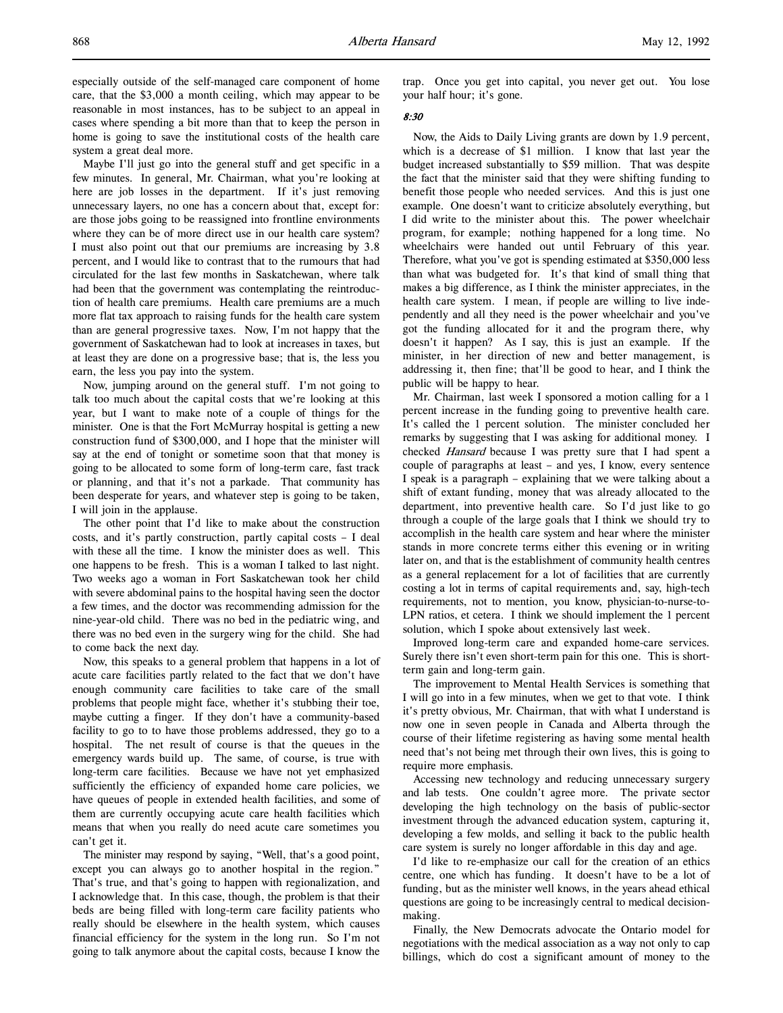especially outside of the self-managed care component of home care, that the \$3,000 a month ceiling, which may appear to be reasonable in most instances, has to be subject to an appeal in cases where spending a bit more than that to keep the person in home is going to save the institutional costs of the health care system a great deal more.

Maybe I'll just go into the general stuff and get specific in a few minutes. In general, Mr. Chairman, what you're looking at here are job losses in the department. If it's just removing unnecessary layers, no one has a concern about that, except for: are those jobs going to be reassigned into frontline environments where they can be of more direct use in our health care system? I must also point out that our premiums are increasing by 3.8 percent, and I would like to contrast that to the rumours that had circulated for the last few months in Saskatchewan, where talk had been that the government was contemplating the reintroduction of health care premiums. Health care premiums are a much more flat tax approach to raising funds for the health care system than are general progressive taxes. Now, I'm not happy that the government of Saskatchewan had to look at increases in taxes, but at least they are done on a progressive base; that is, the less you earn, the less you pay into the system.

Now, jumping around on the general stuff. I'm not going to talk too much about the capital costs that we're looking at this year, but I want to make note of a couple of things for the minister. One is that the Fort McMurray hospital is getting a new construction fund of \$300,000, and I hope that the minister will say at the end of tonight or sometime soon that that money is going to be allocated to some form of long-term care, fast track or planning, and that it's not a parkade. That community has been desperate for years, and whatever step is going to be taken, I will join in the applause.

The other point that I'd like to make about the construction costs, and it's partly construction, partly capital costs – I deal with these all the time. I know the minister does as well. This one happens to be fresh. This is a woman I talked to last night. Two weeks ago a woman in Fort Saskatchewan took her child with severe abdominal pains to the hospital having seen the doctor a few times, and the doctor was recommending admission for the nine-year-old child. There was no bed in the pediatric wing, and there was no bed even in the surgery wing for the child. She had to come back the next day.

Now, this speaks to a general problem that happens in a lot of acute care facilities partly related to the fact that we don't have enough community care facilities to take care of the small problems that people might face, whether it's stubbing their toe, maybe cutting a finger. If they don't have a community-based facility to go to to have those problems addressed, they go to a hospital. The net result of course is that the queues in the emergency wards build up. The same, of course, is true with long-term care facilities. Because we have not yet emphasized sufficiently the efficiency of expanded home care policies, we have queues of people in extended health facilities, and some of them are currently occupying acute care health facilities which means that when you really do need acute care sometimes you can't get it.

The minister may respond by saying, "Well, that's a good point, except you can always go to another hospital in the region." That's true, and that's going to happen with regionalization, and I acknowledge that. In this case, though, the problem is that their beds are being filled with long-term care facility patients who really should be elsewhere in the health system, which causes financial efficiency for the system in the long run. So I'm not going to talk anymore about the capital costs, because I know the trap. Once you get into capital, you never get out. You lose your half hour; it's gone.

## 8:30

Now, the Aids to Daily Living grants are down by 1.9 percent, which is a decrease of \$1 million. I know that last year the budget increased substantially to \$59 million. That was despite the fact that the minister said that they were shifting funding to benefit those people who needed services. And this is just one example. One doesn't want to criticize absolutely everything, but I did write to the minister about this. The power wheelchair program, for example; nothing happened for a long time. No wheelchairs were handed out until February of this year. Therefore, what you've got is spending estimated at \$350,000 less than what was budgeted for. It's that kind of small thing that makes a big difference, as I think the minister appreciates, in the health care system. I mean, if people are willing to live independently and all they need is the power wheelchair and you've got the funding allocated for it and the program there, why doesn't it happen? As I say, this is just an example. If the minister, in her direction of new and better management, is addressing it, then fine; that'll be good to hear, and I think the public will be happy to hear.

Mr. Chairman, last week I sponsored a motion calling for a 1 percent increase in the funding going to preventive health care. It's called the 1 percent solution. The minister concluded her remarks by suggesting that I was asking for additional money. I checked Hansard because I was pretty sure that I had spent a couple of paragraphs at least – and yes, I know, every sentence I speak is a paragraph – explaining that we were talking about a shift of extant funding, money that was already allocated to the department, into preventive health care. So I'd just like to go through a couple of the large goals that I think we should try to accomplish in the health care system and hear where the minister stands in more concrete terms either this evening or in writing later on, and that is the establishment of community health centres as a general replacement for a lot of facilities that are currently costing a lot in terms of capital requirements and, say, high-tech requirements, not to mention, you know, physician-to-nurse-to-LPN ratios, et cetera. I think we should implement the 1 percent solution, which I spoke about extensively last week.

Improved long-term care and expanded home-care services. Surely there isn't even short-term pain for this one. This is shortterm gain and long-term gain.

The improvement to Mental Health Services is something that I will go into in a few minutes, when we get to that vote. I think it's pretty obvious, Mr. Chairman, that with what I understand is now one in seven people in Canada and Alberta through the course of their lifetime registering as having some mental health need that's not being met through their own lives, this is going to require more emphasis.

Accessing new technology and reducing unnecessary surgery and lab tests. One couldn't agree more. The private sector developing the high technology on the basis of public-sector investment through the advanced education system, capturing it, developing a few molds, and selling it back to the public health care system is surely no longer affordable in this day and age.

I'd like to re-emphasize our call for the creation of an ethics centre, one which has funding. It doesn't have to be a lot of funding, but as the minister well knows, in the years ahead ethical questions are going to be increasingly central to medical decisionmaking.

Finally, the New Democrats advocate the Ontario model for negotiations with the medical association as a way not only to cap billings, which do cost a significant amount of money to the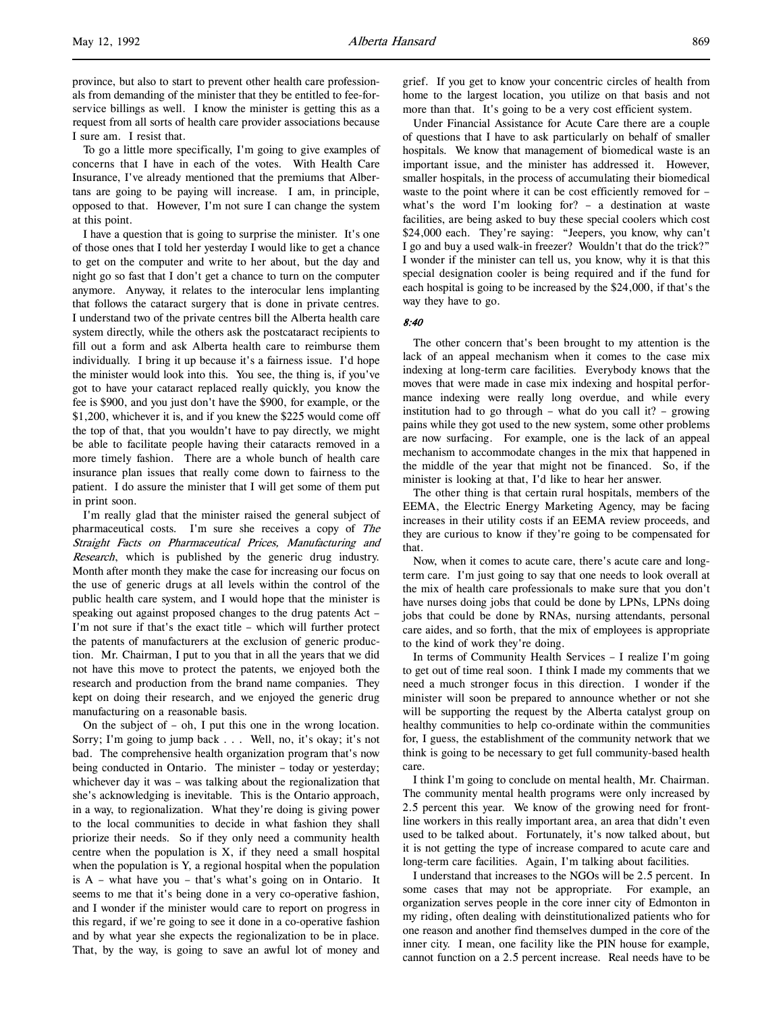province, but also to start to prevent other health care professionals from demanding of the minister that they be entitled to fee-forservice billings as well. I know the minister is getting this as a request from all sorts of health care provider associations because I sure am. I resist that.

To go a little more specifically, I'm going to give examples of concerns that I have in each of the votes. With Health Care Insurance, I've already mentioned that the premiums that Albertans are going to be paying will increase. I am, in principle, opposed to that. However, I'm not sure I can change the system at this point.

I have a question that is going to surprise the minister. It's one of those ones that I told her yesterday I would like to get a chance to get on the computer and write to her about, but the day and night go so fast that I don't get a chance to turn on the computer anymore. Anyway, it relates to the interocular lens implanting that follows the cataract surgery that is done in private centres. I understand two of the private centres bill the Alberta health care system directly, while the others ask the postcataract recipients to fill out a form and ask Alberta health care to reimburse them individually. I bring it up because it's a fairness issue. I'd hope the minister would look into this. You see, the thing is, if you've got to have your cataract replaced really quickly, you know the fee is \$900, and you just don't have the \$900, for example, or the \$1,200, whichever it is, and if you knew the \$225 would come off the top of that, that you wouldn't have to pay directly, we might be able to facilitate people having their cataracts removed in a more timely fashion. There are a whole bunch of health care insurance plan issues that really come down to fairness to the patient. I do assure the minister that I will get some of them put in print soon.

I'm really glad that the minister raised the general subject of pharmaceutical costs. I'm sure she receives a copy of The Straight Facts on Pharmaceutical Prices, Manufacturing and Research, which is published by the generic drug industry. Month after month they make the case for increasing our focus on the use of generic drugs at all levels within the control of the public health care system, and I would hope that the minister is speaking out against proposed changes to the drug patents Act – I'm not sure if that's the exact title – which will further protect the patents of manufacturers at the exclusion of generic production. Mr. Chairman, I put to you that in all the years that we did not have this move to protect the patents, we enjoyed both the research and production from the brand name companies. They kept on doing their research, and we enjoyed the generic drug manufacturing on a reasonable basis.

On the subject of – oh, I put this one in the wrong location. Sorry; I'm going to jump back . . . Well, no, it's okay; it's not bad. The comprehensive health organization program that's now being conducted in Ontario. The minister – today or yesterday; whichever day it was – was talking about the regionalization that she's acknowledging is inevitable. This is the Ontario approach, in a way, to regionalization. What they're doing is giving power to the local communities to decide in what fashion they shall priorize their needs. So if they only need a community health centre when the population is X, if they need a small hospital when the population is Y, a regional hospital when the population is A – what have you – that's what's going on in Ontario. It seems to me that it's being done in a very co-operative fashion, and I wonder if the minister would care to report on progress in this regard, if we're going to see it done in a co-operative fashion and by what year she expects the regionalization to be in place. That, by the way, is going to save an awful lot of money and

grief. If you get to know your concentric circles of health from home to the largest location, you utilize on that basis and not more than that. It's going to be a very cost efficient system.

Under Financial Assistance for Acute Care there are a couple of questions that I have to ask particularly on behalf of smaller hospitals. We know that management of biomedical waste is an important issue, and the minister has addressed it. However, smaller hospitals, in the process of accumulating their biomedical waste to the point where it can be cost efficiently removed for – what's the word I'm looking for? – a destination at waste facilities, are being asked to buy these special coolers which cost \$24,000 each. They're saying: "Jeepers, you know, why can't I go and buy a used walk-in freezer? Wouldn't that do the trick?" I wonder if the minister can tell us, you know, why it is that this special designation cooler is being required and if the fund for each hospital is going to be increased by the \$24,000, if that's the way they have to go.

### 8:40

The other concern that's been brought to my attention is the lack of an appeal mechanism when it comes to the case mix indexing at long-term care facilities. Everybody knows that the moves that were made in case mix indexing and hospital performance indexing were really long overdue, and while every institution had to go through – what do you call it? – growing pains while they got used to the new system, some other problems are now surfacing. For example, one is the lack of an appeal mechanism to accommodate changes in the mix that happened in the middle of the year that might not be financed. So, if the minister is looking at that, I'd like to hear her answer.

The other thing is that certain rural hospitals, members of the EEMA, the Electric Energy Marketing Agency, may be facing increases in their utility costs if an EEMA review proceeds, and they are curious to know if they're going to be compensated for that.

Now, when it comes to acute care, there's acute care and longterm care. I'm just going to say that one needs to look overall at the mix of health care professionals to make sure that you don't have nurses doing jobs that could be done by LPNs, LPNs doing jobs that could be done by RNAs, nursing attendants, personal care aides, and so forth, that the mix of employees is appropriate to the kind of work they're doing.

In terms of Community Health Services – I realize I'm going to get out of time real soon. I think I made my comments that we need a much stronger focus in this direction. I wonder if the minister will soon be prepared to announce whether or not she will be supporting the request by the Alberta catalyst group on healthy communities to help co-ordinate within the communities for, I guess, the establishment of the community network that we think is going to be necessary to get full community-based health care.

I think I'm going to conclude on mental health, Mr. Chairman. The community mental health programs were only increased by 2.5 percent this year. We know of the growing need for frontline workers in this really important area, an area that didn't even used to be talked about. Fortunately, it's now talked about, but it is not getting the type of increase compared to acute care and long-term care facilities. Again, I'm talking about facilities.

I understand that increases to the NGOs will be 2.5 percent. In some cases that may not be appropriate. For example, an organization serves people in the core inner city of Edmonton in my riding, often dealing with deinstitutionalized patients who for one reason and another find themselves dumped in the core of the inner city. I mean, one facility like the PIN house for example, cannot function on a 2.5 percent increase. Real needs have to be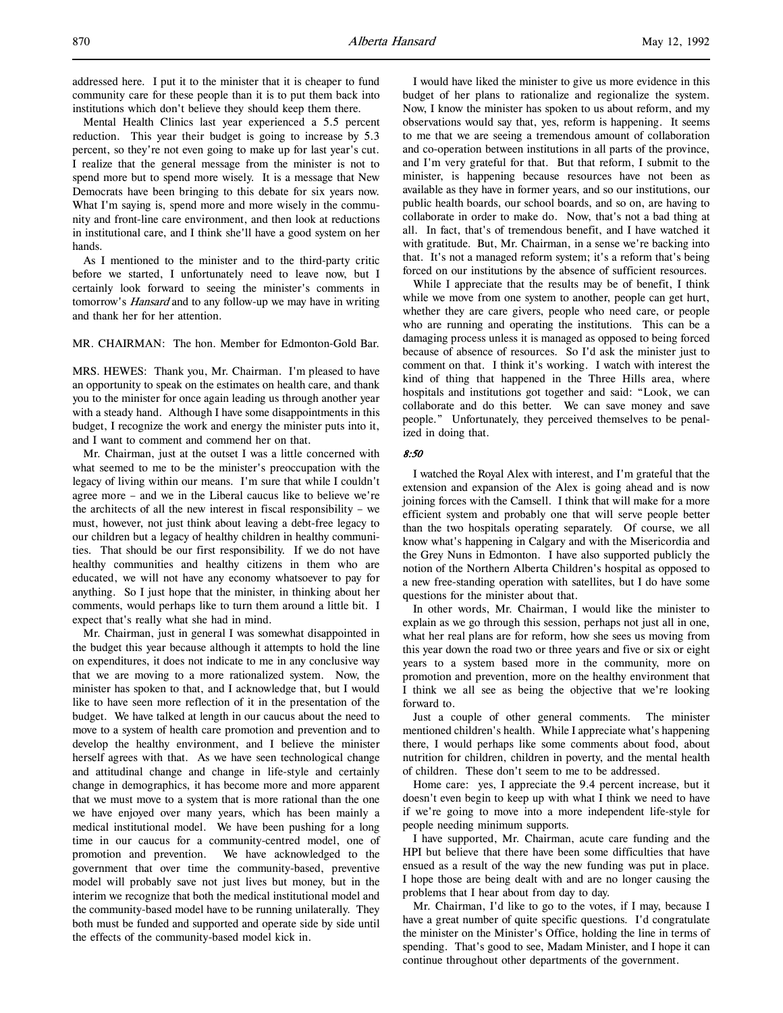addressed here. I put it to the minister that it is cheaper to fund community care for these people than it is to put them back into institutions which don't believe they should keep them there.

Mental Health Clinics last year experienced a 5.5 percent reduction. This year their budget is going to increase by 5.3 percent, so they're not even going to make up for last year's cut. I realize that the general message from the minister is not to spend more but to spend more wisely. It is a message that New Democrats have been bringing to this debate for six years now. What I'm saying is, spend more and more wisely in the community and front-line care environment, and then look at reductions in institutional care, and I think she'll have a good system on her hands.

As I mentioned to the minister and to the third-party critic before we started, I unfortunately need to leave now, but I certainly look forward to seeing the minister's comments in tomorrow's *Hansard* and to any follow-up we may have in writing and thank her for her attention.

MR. CHAIRMAN: The hon. Member for Edmonton-Gold Bar.

MRS. HEWES: Thank you, Mr. Chairman. I'm pleased to have an opportunity to speak on the estimates on health care, and thank you to the minister for once again leading us through another year with a steady hand. Although I have some disappointments in this budget, I recognize the work and energy the minister puts into it, and I want to comment and commend her on that.

Mr. Chairman, just at the outset I was a little concerned with what seemed to me to be the minister's preoccupation with the legacy of living within our means. I'm sure that while I couldn't agree more – and we in the Liberal caucus like to believe we're the architects of all the new interest in fiscal responsibility – we must, however, not just think about leaving a debt-free legacy to our children but a legacy of healthy children in healthy communities. That should be our first responsibility. If we do not have healthy communities and healthy citizens in them who are educated, we will not have any economy whatsoever to pay for anything. So I just hope that the minister, in thinking about her comments, would perhaps like to turn them around a little bit. I expect that's really what she had in mind.

Mr. Chairman, just in general I was somewhat disappointed in the budget this year because although it attempts to hold the line on expenditures, it does not indicate to me in any conclusive way that we are moving to a more rationalized system. Now, the minister has spoken to that, and I acknowledge that, but I would like to have seen more reflection of it in the presentation of the budget. We have talked at length in our caucus about the need to move to a system of health care promotion and prevention and to develop the healthy environment, and I believe the minister herself agrees with that. As we have seen technological change and attitudinal change and change in life-style and certainly change in demographics, it has become more and more apparent that we must move to a system that is more rational than the one we have enjoyed over many years, which has been mainly a medical institutional model. We have been pushing for a long time in our caucus for a community-centred model, one of promotion and prevention. We have acknowledged to the government that over time the community-based, preventive model will probably save not just lives but money, but in the interim we recognize that both the medical institutional model and the community-based model have to be running unilaterally. They both must be funded and supported and operate side by side until the effects of the community-based model kick in.

I would have liked the minister to give us more evidence in this budget of her plans to rationalize and regionalize the system. Now, I know the minister has spoken to us about reform, and my observations would say that, yes, reform is happening. It seems to me that we are seeing a tremendous amount of collaboration and co-operation between institutions in all parts of the province, and I'm very grateful for that. But that reform, I submit to the minister, is happening because resources have not been as available as they have in former years, and so our institutions, our public health boards, our school boards, and so on, are having to collaborate in order to make do. Now, that's not a bad thing at all. In fact, that's of tremendous benefit, and I have watched it with gratitude. But, Mr. Chairman, in a sense we're backing into that. It's not a managed reform system; it's a reform that's being forced on our institutions by the absence of sufficient resources.

While I appreciate that the results may be of benefit, I think while we move from one system to another, people can get hurt, whether they are care givers, people who need care, or people who are running and operating the institutions. This can be a damaging process unless it is managed as opposed to being forced because of absence of resources. So I'd ask the minister just to comment on that. I think it's working. I watch with interest the kind of thing that happened in the Three Hills area, where hospitals and institutions got together and said: "Look, we can collaborate and do this better. We can save money and save people." Unfortunately, they perceived themselves to be penalized in doing that.

### 8:50

I watched the Royal Alex with interest, and I'm grateful that the extension and expansion of the Alex is going ahead and is now joining forces with the Camsell. I think that will make for a more efficient system and probably one that will serve people better than the two hospitals operating separately. Of course, we all know what's happening in Calgary and with the Misericordia and the Grey Nuns in Edmonton. I have also supported publicly the notion of the Northern Alberta Children's hospital as opposed to a new free-standing operation with satellites, but I do have some questions for the minister about that.

In other words, Mr. Chairman, I would like the minister to explain as we go through this session, perhaps not just all in one, what her real plans are for reform, how she sees us moving from this year down the road two or three years and five or six or eight years to a system based more in the community, more on promotion and prevention, more on the healthy environment that I think we all see as being the objective that we're looking forward to.

Just a couple of other general comments. The minister mentioned children's health. While I appreciate what's happening there, I would perhaps like some comments about food, about nutrition for children, children in poverty, and the mental health of children. These don't seem to me to be addressed.

Home care: yes, I appreciate the 9.4 percent increase, but it doesn't even begin to keep up with what I think we need to have if we're going to move into a more independent life-style for people needing minimum supports.

I have supported, Mr. Chairman, acute care funding and the HPI but believe that there have been some difficulties that have ensued as a result of the way the new funding was put in place. I hope those are being dealt with and are no longer causing the problems that I hear about from day to day.

Mr. Chairman, I'd like to go to the votes, if I may, because I have a great number of quite specific questions. I'd congratulate the minister on the Minister's Office, holding the line in terms of spending. That's good to see, Madam Minister, and I hope it can continue throughout other departments of the government.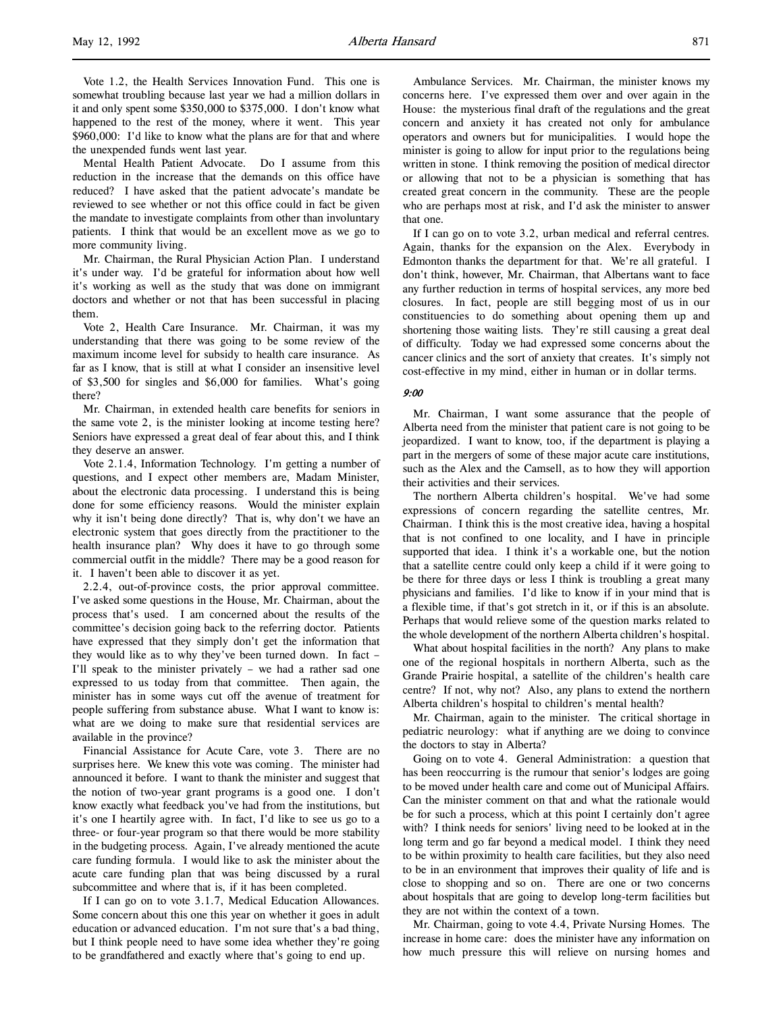Vote 1.2, the Health Services Innovation Fund. This one is somewhat troubling because last year we had a million dollars in it and only spent some \$350,000 to \$375,000. I don't know what happened to the rest of the money, where it went. This year \$960,000: I'd like to know what the plans are for that and where the unexpended funds went last year.

Mental Health Patient Advocate. Do I assume from this reduction in the increase that the demands on this office have reduced? I have asked that the patient advocate's mandate be reviewed to see whether or not this office could in fact be given the mandate to investigate complaints from other than involuntary patients. I think that would be an excellent move as we go to more community living.

Mr. Chairman, the Rural Physician Action Plan. I understand it's under way. I'd be grateful for information about how well it's working as well as the study that was done on immigrant doctors and whether or not that has been successful in placing them.

Vote 2, Health Care Insurance. Mr. Chairman, it was my understanding that there was going to be some review of the maximum income level for subsidy to health care insurance. As far as I know, that is still at what I consider an insensitive level of \$3,500 for singles and \$6,000 for families. What's going there?

Mr. Chairman, in extended health care benefits for seniors in the same vote 2, is the minister looking at income testing here? Seniors have expressed a great deal of fear about this, and I think they deserve an answer.

Vote 2.1.4, Information Technology. I'm getting a number of questions, and I expect other members are, Madam Minister, about the electronic data processing. I understand this is being done for some efficiency reasons. Would the minister explain why it isn't being done directly? That is, why don't we have an electronic system that goes directly from the practitioner to the health insurance plan? Why does it have to go through some commercial outfit in the middle? There may be a good reason for it. I haven't been able to discover it as yet.

2.2.4, out-of-province costs, the prior approval committee. I've asked some questions in the House, Mr. Chairman, about the process that's used. I am concerned about the results of the committee's decision going back to the referring doctor. Patients have expressed that they simply don't get the information that they would like as to why they've been turned down. In fact – I'll speak to the minister privately – we had a rather sad one expressed to us today from that committee. Then again, the minister has in some ways cut off the avenue of treatment for people suffering from substance abuse. What I want to know is: what are we doing to make sure that residential services are available in the province?

Financial Assistance for Acute Care, vote 3. There are no surprises here. We knew this vote was coming. The minister had announced it before. I want to thank the minister and suggest that the notion of two-year grant programs is a good one. I don't know exactly what feedback you've had from the institutions, but it's one I heartily agree with. In fact, I'd like to see us go to a three- or four-year program so that there would be more stability in the budgeting process. Again, I've already mentioned the acute care funding formula. I would like to ask the minister about the acute care funding plan that was being discussed by a rural subcommittee and where that is, if it has been completed.

If I can go on to vote 3.1.7, Medical Education Allowances. Some concern about this one this year on whether it goes in adult education or advanced education. I'm not sure that's a bad thing, but I think people need to have some idea whether they're going to be grandfathered and exactly where that's going to end up.

Ambulance Services. Mr. Chairman, the minister knows my concerns here. I've expressed them over and over again in the House: the mysterious final draft of the regulations and the great concern and anxiety it has created not only for ambulance operators and owners but for municipalities. I would hope the minister is going to allow for input prior to the regulations being written in stone. I think removing the position of medical director or allowing that not to be a physician is something that has created great concern in the community. These are the people who are perhaps most at risk, and I'd ask the minister to answer that one.

If I can go on to vote 3.2, urban medical and referral centres. Again, thanks for the expansion on the Alex. Everybody in Edmonton thanks the department for that. We're all grateful. I don't think, however, Mr. Chairman, that Albertans want to face any further reduction in terms of hospital services, any more bed closures. In fact, people are still begging most of us in our constituencies to do something about opening them up and shortening those waiting lists. They're still causing a great deal of difficulty. Today we had expressed some concerns about the cancer clinics and the sort of anxiety that creates. It's simply not cost-effective in my mind, either in human or in dollar terms.

## $9:00$

Mr. Chairman, I want some assurance that the people of Alberta need from the minister that patient care is not going to be jeopardized. I want to know, too, if the department is playing a part in the mergers of some of these major acute care institutions, such as the Alex and the Camsell, as to how they will apportion their activities and their services.

The northern Alberta children's hospital. We've had some expressions of concern regarding the satellite centres, Mr. Chairman. I think this is the most creative idea, having a hospital that is not confined to one locality, and I have in principle supported that idea. I think it's a workable one, but the notion that a satellite centre could only keep a child if it were going to be there for three days or less I think is troubling a great many physicians and families. I'd like to know if in your mind that is a flexible time, if that's got stretch in it, or if this is an absolute. Perhaps that would relieve some of the question marks related to the whole development of the northern Alberta children's hospital.

What about hospital facilities in the north? Any plans to make one of the regional hospitals in northern Alberta, such as the Grande Prairie hospital, a satellite of the children's health care centre? If not, why not? Also, any plans to extend the northern Alberta children's hospital to children's mental health?

Mr. Chairman, again to the minister. The critical shortage in pediatric neurology: what if anything are we doing to convince the doctors to stay in Alberta?

Going on to vote 4. General Administration: a question that has been reoccurring is the rumour that senior's lodges are going to be moved under health care and come out of Municipal Affairs. Can the minister comment on that and what the rationale would be for such a process, which at this point I certainly don't agree with? I think needs for seniors' living need to be looked at in the long term and go far beyond a medical model. I think they need to be within proximity to health care facilities, but they also need to be in an environment that improves their quality of life and is close to shopping and so on. There are one or two concerns about hospitals that are going to develop long-term facilities but they are not within the context of a town.

Mr. Chairman, going to vote 4.4, Private Nursing Homes. The increase in home care: does the minister have any information on how much pressure this will relieve on nursing homes and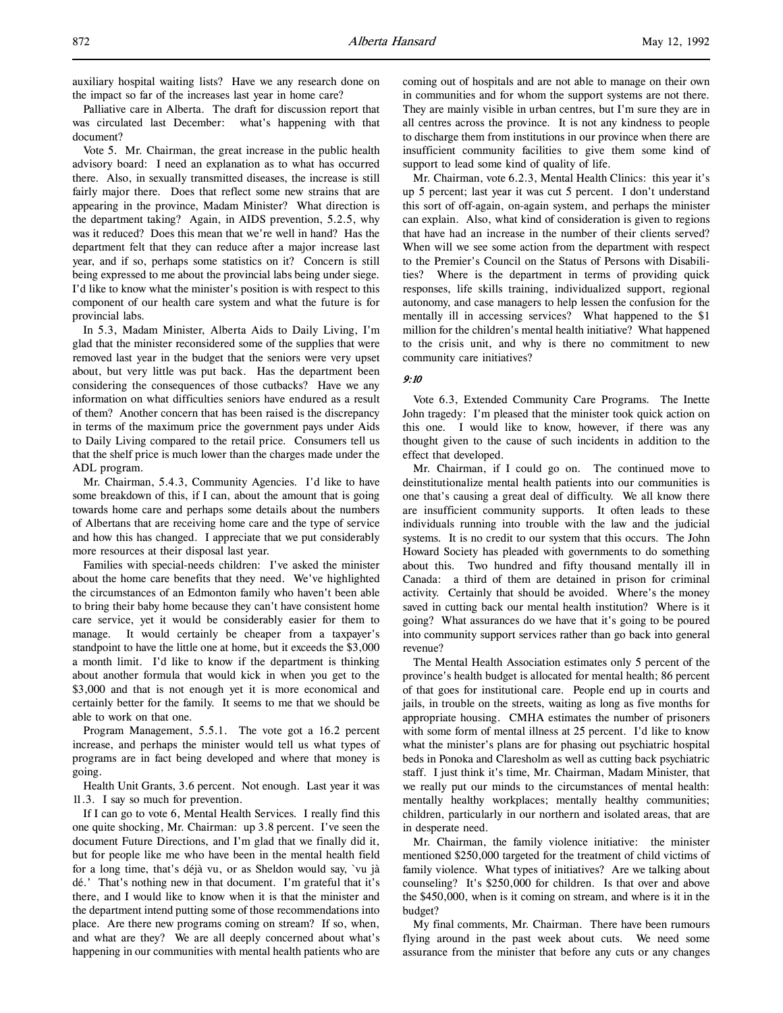Palliative care in Alberta. The draft for discussion report that was circulated last December: what's happening with that document?

Vote 5. Mr. Chairman, the great increase in the public health advisory board: I need an explanation as to what has occurred there. Also, in sexually transmitted diseases, the increase is still fairly major there. Does that reflect some new strains that are appearing in the province, Madam Minister? What direction is the department taking? Again, in AIDS prevention, 5.2.5, why was it reduced? Does this mean that we're well in hand? Has the department felt that they can reduce after a major increase last year, and if so, perhaps some statistics on it? Concern is still being expressed to me about the provincial labs being under siege. I'd like to know what the minister's position is with respect to this component of our health care system and what the future is for provincial labs.

In 5.3, Madam Minister, Alberta Aids to Daily Living, I'm glad that the minister reconsidered some of the supplies that were removed last year in the budget that the seniors were very upset about, but very little was put back. Has the department been considering the consequences of those cutbacks? Have we any information on what difficulties seniors have endured as a result of them? Another concern that has been raised is the discrepancy in terms of the maximum price the government pays under Aids to Daily Living compared to the retail price. Consumers tell us that the shelf price is much lower than the charges made under the ADL program.

Mr. Chairman, 5.4.3, Community Agencies. I'd like to have some breakdown of this, if I can, about the amount that is going towards home care and perhaps some details about the numbers of Albertans that are receiving home care and the type of service and how this has changed. I appreciate that we put considerably more resources at their disposal last year.

Families with special-needs children: I've asked the minister about the home care benefits that they need. We've highlighted the circumstances of an Edmonton family who haven't been able to bring their baby home because they can't have consistent home care service, yet it would be considerably easier for them to manage. It would certainly be cheaper from a taxpayer's standpoint to have the little one at home, but it exceeds the \$3,000 a month limit. I'd like to know if the department is thinking about another formula that would kick in when you get to the \$3,000 and that is not enough yet it is more economical and certainly better for the family. It seems to me that we should be able to work on that one.

Program Management, 5.5.1. The vote got a 16.2 percent increase, and perhaps the minister would tell us what types of programs are in fact being developed and where that money is going.

Health Unit Grants, 3.6 percent. Not enough. Last year it was 11.3. I say so much for prevention.

If I can go to vote 6, Mental Health Services. I really find this one quite shocking, Mr. Chairman: up 3.8 percent. I've seen the document Future Directions, and I'm glad that we finally did it, but for people like me who have been in the mental health field for a long time, that's déjà vu, or as Sheldon would say, `vu jà dé.' That's nothing new in that document. I'm grateful that it's there, and I would like to know when it is that the minister and the department intend putting some of those recommendations into place. Are there new programs coming on stream? If so, when, and what are they? We are all deeply concerned about what's happening in our communities with mental health patients who are

coming out of hospitals and are not able to manage on their own in communities and for whom the support systems are not there. They are mainly visible in urban centres, but I'm sure they are in all centres across the province. It is not any kindness to people to discharge them from institutions in our province when there are insufficient community facilities to give them some kind of support to lead some kind of quality of life.

Mr. Chairman, vote 6.2.3, Mental Health Clinics: this year it's up 5 percent; last year it was cut 5 percent. I don't understand this sort of off-again, on-again system, and perhaps the minister can explain. Also, what kind of consideration is given to regions that have had an increase in the number of their clients served? When will we see some action from the department with respect to the Premier's Council on the Status of Persons with Disabilities? Where is the department in terms of providing quick responses, life skills training, individualized support, regional autonomy, and case managers to help lessen the confusion for the mentally ill in accessing services? What happened to the \$1 million for the children's mental health initiative? What happened to the crisis unit, and why is there no commitment to new community care initiatives?

# 9:10

Vote 6.3, Extended Community Care Programs. The Inette John tragedy: I'm pleased that the minister took quick action on this one. I would like to know, however, if there was any thought given to the cause of such incidents in addition to the effect that developed.

Mr. Chairman, if I could go on. The continued move to deinstitutionalize mental health patients into our communities is one that's causing a great deal of difficulty. We all know there are insufficient community supports. It often leads to these individuals running into trouble with the law and the judicial systems. It is no credit to our system that this occurs. The John Howard Society has pleaded with governments to do something about this. Two hundred and fifty thousand mentally ill in Canada: a third of them are detained in prison for criminal activity. Certainly that should be avoided. Where's the money saved in cutting back our mental health institution? Where is it going? What assurances do we have that it's going to be poured into community support services rather than go back into general revenue?

The Mental Health Association estimates only 5 percent of the province's health budget is allocated for mental health; 86 percent of that goes for institutional care. People end up in courts and jails, in trouble on the streets, waiting as long as five months for appropriate housing. CMHA estimates the number of prisoners with some form of mental illness at 25 percent. I'd like to know what the minister's plans are for phasing out psychiatric hospital beds in Ponoka and Claresholm as well as cutting back psychiatric staff. I just think it's time, Mr. Chairman, Madam Minister, that we really put our minds to the circumstances of mental health: mentally healthy workplaces; mentally healthy communities; children, particularly in our northern and isolated areas, that are in desperate need.

Mr. Chairman, the family violence initiative: the minister mentioned \$250,000 targeted for the treatment of child victims of family violence. What types of initiatives? Are we talking about counseling? It's \$250,000 for children. Is that over and above the \$450,000, when is it coming on stream, and where is it in the budget?

My final comments, Mr. Chairman. There have been rumours flying around in the past week about cuts. We need some assurance from the minister that before any cuts or any changes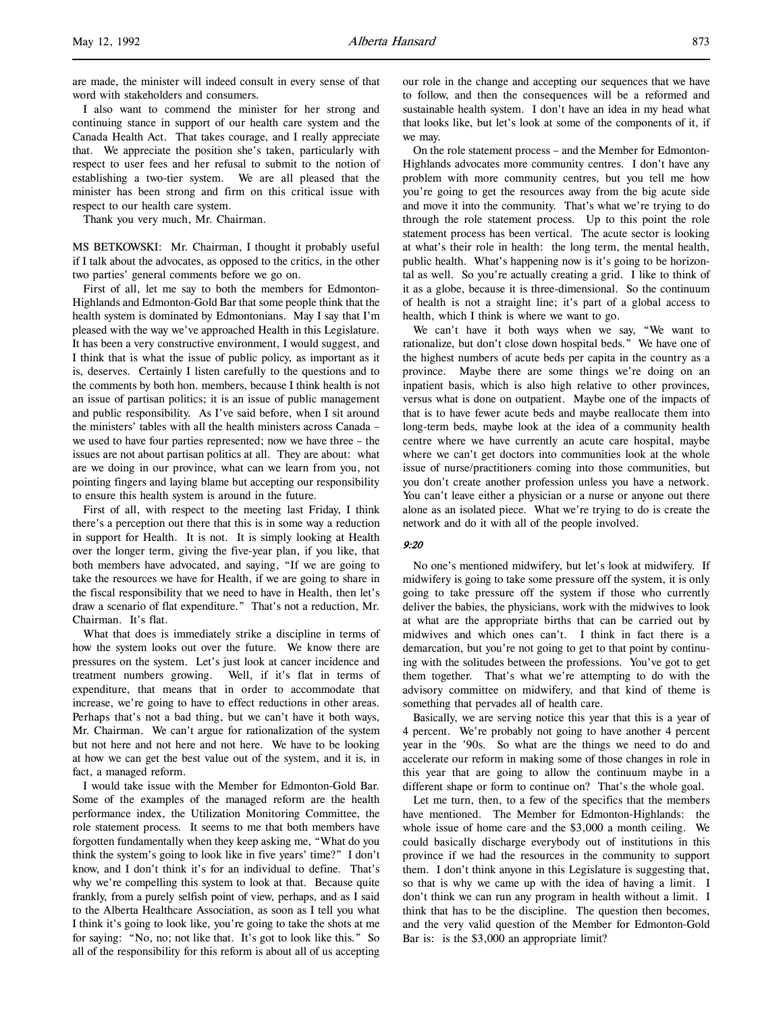are made, the minister will indeed consult in every sense of that word with stakeholders and consumers.

I also want to commend the minister for her strong and continuing stance in support of our health care system and the Canada Health Act. That takes courage, and I really appreciate that. We appreciate the position she's taken, particularly with respect to user fees and her refusal to submit to the notion of establishing a two-tier system. We are all pleased that the minister has been strong and firm on this critical issue with respect to our health care system.

Thank you very much, Mr. Chairman.

MS BETKOWSKI: Mr. Chairman, I thought it probably useful if I talk about the advocates, as opposed to the critics, in the other two parties' general comments before we go on.

First of all, let me say to both the members for Edmonton-Highlands and Edmonton-Gold Bar that some people think that the health system is dominated by Edmontonians. May I say that I'm pleased with the way we've approached Health in this Legislature. It has been a very constructive environment, I would suggest, and I think that is what the issue of public policy, as important as it is, deserves. Certainly I listen carefully to the questions and to the comments by both hon. members, because I think health is not an issue of partisan politics; it is an issue of public management and public responsibility. As I've said before, when I sit around the ministers' tables with all the health ministers across Canada – we used to have four parties represented; now we have three – the issues are not about partisan politics at all. They are about: what are we doing in our province, what can we learn from you, not pointing fingers and laying blame but accepting our responsibility to ensure this health system is around in the future.

First of all, with respect to the meeting last Friday, I think there's a perception out there that this is in some way a reduction in support for Health. It is not. It is simply looking at Health over the longer term, giving the five-year plan, if you like, that both members have advocated, and saying, "If we are going to take the resources we have for Health, if we are going to share in the fiscal responsibility that we need to have in Health, then let's draw a scenario of flat expenditure." That's not a reduction, Mr. Chairman. It's flat.

What that does is immediately strike a discipline in terms of how the system looks out over the future. We know there are pressures on the system. Let's just look at cancer incidence and treatment numbers growing. Well, if it's flat in terms of expenditure, that means that in order to accommodate that increase, we're going to have to effect reductions in other areas. Perhaps that's not a bad thing, but we can't have it both ways, Mr. Chairman. We can't argue for rationalization of the system but not here and not here and not here. We have to be looking at how we can get the best value out of the system, and it is, in fact, a managed reform.

I would take issue with the Member for Edmonton-Gold Bar. Some of the examples of the managed reform are the health performance index, the Utilization Monitoring Committee, the role statement process. It seems to me that both members have forgotten fundamentally when they keep asking me, "What do you think the system's going to look like in five years' time?" I don't know, and I don't think it's for an individual to define. That's why we're compelling this system to look at that. Because quite frankly, from a purely selfish point of view, perhaps, and as I said to the Alberta Healthcare Association, as soon as I tell you what I think it's going to look like, you're going to take the shots at me for saying: "No, no; not like that. It's got to look like this." So all of the responsibility for this reform is about all of us accepting

our role in the change and accepting our sequences that we have to follow, and then the consequences will be a reformed and sustainable health system. I don't have an idea in my head what that looks like, but let's look at some of the components of it, if we may.

On the role statement process – and the Member for Edmonton-Highlands advocates more community centres. I don't have any problem with more community centres, but you tell me how you're going to get the resources away from the big acute side and move it into the community. That's what we're trying to do through the role statement process. Up to this point the role statement process has been vertical. The acute sector is looking at what's their role in health: the long term, the mental health, public health. What's happening now is it's going to be horizontal as well. So you're actually creating a grid. I like to think of it as a globe, because it is three-dimensional. So the continuum of health is not a straight line; it's part of a global access to health, which I think is where we want to go.

We can't have it both ways when we say, "We want to rationalize, but don't close down hospital beds." We have one of the highest numbers of acute beds per capita in the country as a province. Maybe there are some things we're doing on an inpatient basis, which is also high relative to other provinces, versus what is done on outpatient. Maybe one of the impacts of that is to have fewer acute beds and maybe reallocate them into long-term beds, maybe look at the idea of a community health centre where we have currently an acute care hospital, maybe where we can't get doctors into communities look at the whole issue of nurse/practitioners coming into those communities, but you don't create another profession unless you have a network. You can't leave either a physician or a nurse or anyone out there alone as an isolated piece. What we're trying to do is create the network and do it with all of the people involved.

#### 9:20

No one's mentioned midwifery, but let's look at midwifery. If midwifery is going to take some pressure off the system, it is only going to take pressure off the system if those who currently deliver the babies, the physicians, work with the midwives to look at what are the appropriate births that can be carried out by midwives and which ones can't. I think in fact there is a demarcation, but you're not going to get to that point by continuing with the solitudes between the professions. You've got to get them together. That's what we're attempting to do with the advisory committee on midwifery, and that kind of theme is something that pervades all of health care.

Basically, we are serving notice this year that this is a year of 4 percent. We're probably not going to have another 4 percent year in the '90s. So what are the things we need to do and accelerate our reform in making some of those changes in role in this year that are going to allow the continuum maybe in a different shape or form to continue on? That's the whole goal.

Let me turn, then, to a few of the specifics that the members have mentioned. The Member for Edmonton-Highlands: the whole issue of home care and the \$3,000 a month ceiling. We could basically discharge everybody out of institutions in this province if we had the resources in the community to support them. I don't think anyone in this Legislature is suggesting that, so that is why we came up with the idea of having a limit. I don't think we can run any program in health without a limit. I think that has to be the discipline. The question then becomes, and the very valid question of the Member for Edmonton-Gold Bar is: is the \$3,000 an appropriate limit?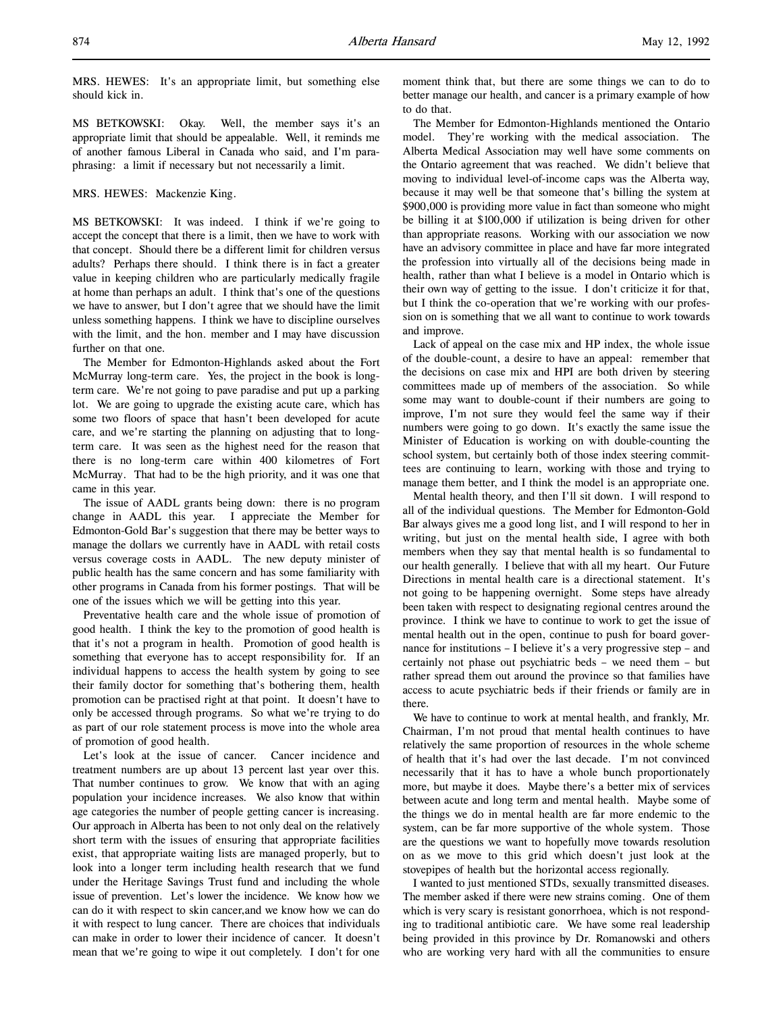MRS. HEWES: It's an appropriate limit, but something else should kick in.

MS BETKOWSKI: Okay. Well, the member says it's an appropriate limit that should be appealable. Well, it reminds me of another famous Liberal in Canada who said, and I'm paraphrasing: a limit if necessary but not necessarily a limit.

## MRS. HEWES: Mackenzie King.

MS BETKOWSKI: It was indeed. I think if we're going to accept the concept that there is a limit, then we have to work with that concept. Should there be a different limit for children versus adults? Perhaps there should. I think there is in fact a greater value in keeping children who are particularly medically fragile at home than perhaps an adult. I think that's one of the questions we have to answer, but I don't agree that we should have the limit unless something happens. I think we have to discipline ourselves with the limit, and the hon. member and I may have discussion further on that one.

The Member for Edmonton-Highlands asked about the Fort McMurray long-term care. Yes, the project in the book is longterm care. We're not going to pave paradise and put up a parking lot. We are going to upgrade the existing acute care, which has some two floors of space that hasn't been developed for acute care, and we're starting the planning on adjusting that to longterm care. It was seen as the highest need for the reason that there is no long-term care within 400 kilometres of Fort McMurray. That had to be the high priority, and it was one that came in this year.

The issue of AADL grants being down: there is no program change in AADL this year. I appreciate the Member for Edmonton-Gold Bar's suggestion that there may be better ways to manage the dollars we currently have in AADL with retail costs versus coverage costs in AADL. The new deputy minister of public health has the same concern and has some familiarity with other programs in Canada from his former postings. That will be one of the issues which we will be getting into this year.

Preventative health care and the whole issue of promotion of good health. I think the key to the promotion of good health is that it's not a program in health. Promotion of good health is something that everyone has to accept responsibility for. If an individual happens to access the health system by going to see their family doctor for something that's bothering them, health promotion can be practised right at that point. It doesn't have to only be accessed through programs. So what we're trying to do as part of our role statement process is move into the whole area of promotion of good health.

Let's look at the issue of cancer. Cancer incidence and treatment numbers are up about 13 percent last year over this. That number continues to grow. We know that with an aging population your incidence increases. We also know that within age categories the number of people getting cancer is increasing. Our approach in Alberta has been to not only deal on the relatively short term with the issues of ensuring that appropriate facilities exist, that appropriate waiting lists are managed properly, but to look into a longer term including health research that we fund under the Heritage Savings Trust fund and including the whole issue of prevention. Let's lower the incidence. We know how we can do it with respect to skin cancer,and we know how we can do it with respect to lung cancer. There are choices that individuals can make in order to lower their incidence of cancer. It doesn't mean that we're going to wipe it out completely. I don't for one

moment think that, but there are some things we can to do to better manage our health, and cancer is a primary example of how to do that.

The Member for Edmonton-Highlands mentioned the Ontario model. They're working with the medical association. The Alberta Medical Association may well have some comments on the Ontario agreement that was reached. We didn't believe that moving to individual level-of-income caps was the Alberta way, because it may well be that someone that's billing the system at \$900,000 is providing more value in fact than someone who might be billing it at \$100,000 if utilization is being driven for other than appropriate reasons. Working with our association we now have an advisory committee in place and have far more integrated the profession into virtually all of the decisions being made in health, rather than what I believe is a model in Ontario which is their own way of getting to the issue. I don't criticize it for that, but I think the co-operation that we're working with our profession on is something that we all want to continue to work towards and improve.

Lack of appeal on the case mix and HP index, the whole issue of the double-count, a desire to have an appeal: remember that the decisions on case mix and HPI are both driven by steering committees made up of members of the association. So while some may want to double-count if their numbers are going to improve, I'm not sure they would feel the same way if their numbers were going to go down. It's exactly the same issue the Minister of Education is working on with double-counting the school system, but certainly both of those index steering committees are continuing to learn, working with those and trying to manage them better, and I think the model is an appropriate one.

Mental health theory, and then I'll sit down. I will respond to all of the individual questions. The Member for Edmonton-Gold Bar always gives me a good long list, and I will respond to her in writing, but just on the mental health side, I agree with both members when they say that mental health is so fundamental to our health generally. I believe that with all my heart. Our Future Directions in mental health care is a directional statement. It's not going to be happening overnight. Some steps have already been taken with respect to designating regional centres around the province. I think we have to continue to work to get the issue of mental health out in the open, continue to push for board governance for institutions – I believe it's a very progressive step – and certainly not phase out psychiatric beds – we need them – but rather spread them out around the province so that families have access to acute psychiatric beds if their friends or family are in there.

We have to continue to work at mental health, and frankly, Mr. Chairman, I'm not proud that mental health continues to have relatively the same proportion of resources in the whole scheme of health that it's had over the last decade. I'm not convinced necessarily that it has to have a whole bunch proportionately more, but maybe it does. Maybe there's a better mix of services between acute and long term and mental health. Maybe some of the things we do in mental health are far more endemic to the system, can be far more supportive of the whole system. Those are the questions we want to hopefully move towards resolution on as we move to this grid which doesn't just look at the stovepipes of health but the horizontal access regionally.

I wanted to just mentioned STDs, sexually transmitted diseases. The member asked if there were new strains coming. One of them which is very scary is resistant gonorrhoea, which is not responding to traditional antibiotic care. We have some real leadership being provided in this province by Dr. Romanowski and others who are working very hard with all the communities to ensure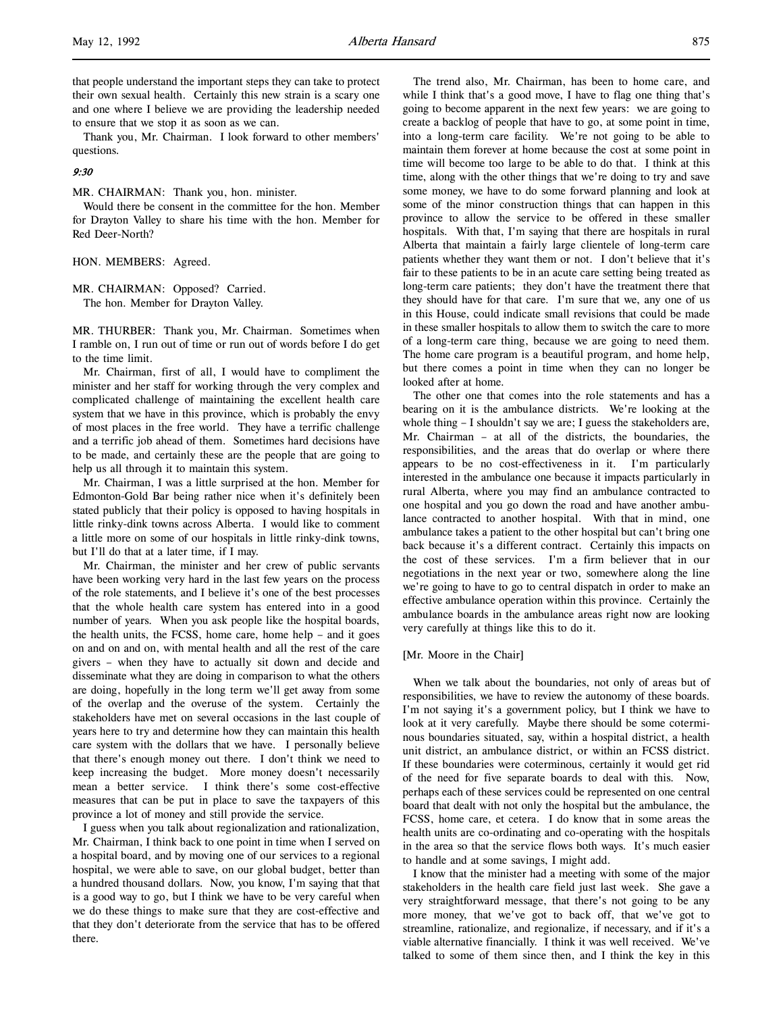Thank you, Mr. Chairman. I look forward to other members' questions.

### 9:30

MR. CHAIRMAN: Thank you, hon. minister.

Would there be consent in the committee for the hon. Member for Drayton Valley to share his time with the hon. Member for Red Deer-North?

HON. MEMBERS: Agreed.

MR. CHAIRMAN: Opposed? Carried. The hon. Member for Drayton Valley.

MR. THURBER: Thank you, Mr. Chairman. Sometimes when I ramble on, I run out of time or run out of words before I do get to the time limit.

Mr. Chairman, first of all, I would have to compliment the minister and her staff for working through the very complex and complicated challenge of maintaining the excellent health care system that we have in this province, which is probably the envy of most places in the free world. They have a terrific challenge and a terrific job ahead of them. Sometimes hard decisions have to be made, and certainly these are the people that are going to help us all through it to maintain this system.

Mr. Chairman, I was a little surprised at the hon. Member for Edmonton-Gold Bar being rather nice when it's definitely been stated publicly that their policy is opposed to having hospitals in little rinky-dink towns across Alberta. I would like to comment a little more on some of our hospitals in little rinky-dink towns, but I'll do that at a later time, if I may.

Mr. Chairman, the minister and her crew of public servants have been working very hard in the last few years on the process of the role statements, and I believe it's one of the best processes that the whole health care system has entered into in a good number of years. When you ask people like the hospital boards, the health units, the FCSS, home care, home help – and it goes on and on and on, with mental health and all the rest of the care givers – when they have to actually sit down and decide and disseminate what they are doing in comparison to what the others are doing, hopefully in the long term we'll get away from some of the overlap and the overuse of the system. Certainly the stakeholders have met on several occasions in the last couple of years here to try and determine how they can maintain this health care system with the dollars that we have. I personally believe that there's enough money out there. I don't think we need to keep increasing the budget. More money doesn't necessarily mean a better service. I think there's some cost-effective measures that can be put in place to save the taxpayers of this province a lot of money and still provide the service.

I guess when you talk about regionalization and rationalization, Mr. Chairman, I think back to one point in time when I served on a hospital board, and by moving one of our services to a regional hospital, we were able to save, on our global budget, better than a hundred thousand dollars. Now, you know, I'm saying that that is a good way to go, but I think we have to be very careful when we do these things to make sure that they are cost-effective and that they don't deteriorate from the service that has to be offered there.

The trend also, Mr. Chairman, has been to home care, and while I think that's a good move, I have to flag one thing that's going to become apparent in the next few years: we are going to create a backlog of people that have to go, at some point in time, into a long-term care facility. We're not going to be able to maintain them forever at home because the cost at some point in time will become too large to be able to do that. I think at this time, along with the other things that we're doing to try and save some money, we have to do some forward planning and look at some of the minor construction things that can happen in this province to allow the service to be offered in these smaller hospitals. With that, I'm saying that there are hospitals in rural Alberta that maintain a fairly large clientele of long-term care patients whether they want them or not. I don't believe that it's fair to these patients to be in an acute care setting being treated as long-term care patients; they don't have the treatment there that they should have for that care. I'm sure that we, any one of us in this House, could indicate small revisions that could be made in these smaller hospitals to allow them to switch the care to more of a long-term care thing, because we are going to need them. The home care program is a beautiful program, and home help, but there comes a point in time when they can no longer be looked after at home.

The other one that comes into the role statements and has a bearing on it is the ambulance districts. We're looking at the whole thing – I shouldn't say we are; I guess the stakeholders are, Mr. Chairman – at all of the districts, the boundaries, the responsibilities, and the areas that do overlap or where there appears to be no cost-effectiveness in it. I'm particularly interested in the ambulance one because it impacts particularly in rural Alberta, where you may find an ambulance contracted to one hospital and you go down the road and have another ambulance contracted to another hospital. With that in mind, one ambulance takes a patient to the other hospital but can't bring one back because it's a different contract. Certainly this impacts on the cost of these services. I'm a firm believer that in our negotiations in the next year or two, somewhere along the line we're going to have to go to central dispatch in order to make an effective ambulance operation within this province. Certainly the ambulance boards in the ambulance areas right now are looking very carefully at things like this to do it.

### [Mr. Moore in the Chair]

When we talk about the boundaries, not only of areas but of responsibilities, we have to review the autonomy of these boards. I'm not saying it's a government policy, but I think we have to look at it very carefully. Maybe there should be some coterminous boundaries situated, say, within a hospital district, a health unit district, an ambulance district, or within an FCSS district. If these boundaries were coterminous, certainly it would get rid of the need for five separate boards to deal with this. Now, perhaps each of these services could be represented on one central board that dealt with not only the hospital but the ambulance, the FCSS, home care, et cetera. I do know that in some areas the health units are co-ordinating and co-operating with the hospitals in the area so that the service flows both ways. It's much easier to handle and at some savings, I might add.

I know that the minister had a meeting with some of the major stakeholders in the health care field just last week. She gave a very straightforward message, that there's not going to be any more money, that we've got to back off, that we've got to streamline, rationalize, and regionalize, if necessary, and if it's a viable alternative financially. I think it was well received. We've talked to some of them since then, and I think the key in this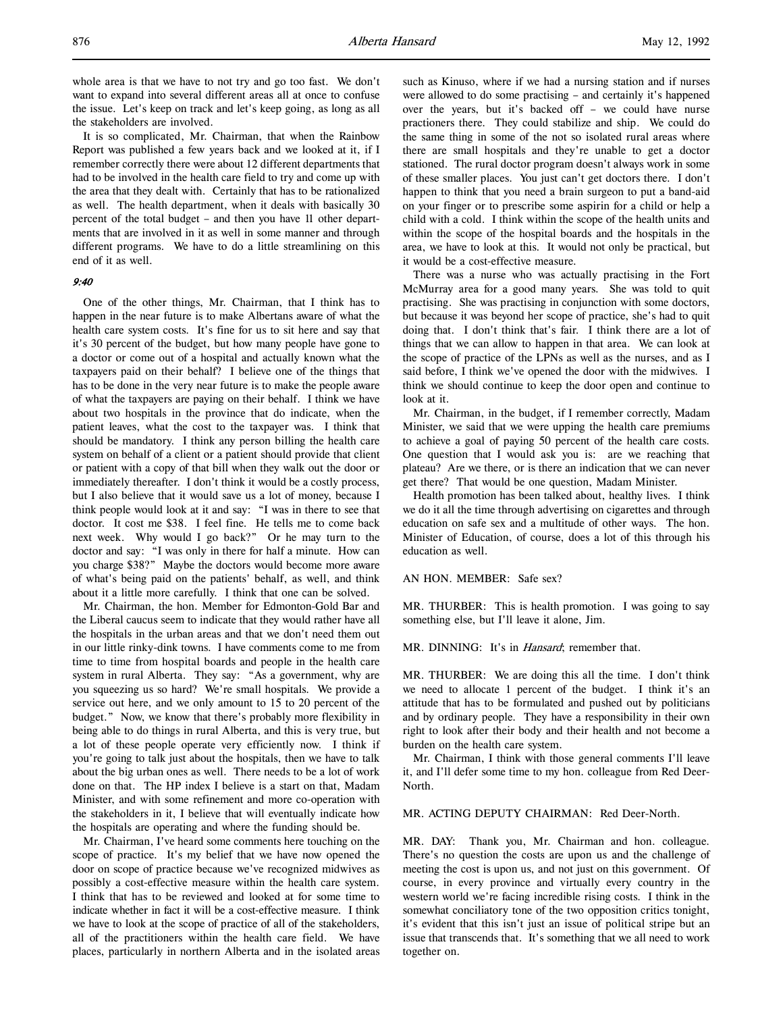whole area is that we have to not try and go too fast. We don't want to expand into several different areas all at once to confuse the issue. Let's keep on track and let's keep going, as long as all the stakeholders are involved.

It is so complicated, Mr. Chairman, that when the Rainbow Report was published a few years back and we looked at it, if I remember correctly there were about 12 different departments that had to be involved in the health care field to try and come up with the area that they dealt with. Certainly that has to be rationalized as well. The health department, when it deals with basically 30 percent of the total budget – and then you have 11 other departments that are involved in it as well in some manner and through different programs. We have to do a little streamlining on this end of it as well.

## 9:40

One of the other things, Mr. Chairman, that I think has to happen in the near future is to make Albertans aware of what the health care system costs. It's fine for us to sit here and say that it's 30 percent of the budget, but how many people have gone to a doctor or come out of a hospital and actually known what the taxpayers paid on their behalf? I believe one of the things that has to be done in the very near future is to make the people aware of what the taxpayers are paying on their behalf. I think we have about two hospitals in the province that do indicate, when the patient leaves, what the cost to the taxpayer was. I think that should be mandatory. I think any person billing the health care system on behalf of a client or a patient should provide that client or patient with a copy of that bill when they walk out the door or immediately thereafter. I don't think it would be a costly process, but I also believe that it would save us a lot of money, because I think people would look at it and say: "I was in there to see that doctor. It cost me \$38. I feel fine. He tells me to come back next week. Why would I go back?" Or he may turn to the doctor and say: "I was only in there for half a minute. How can you charge \$38?" Maybe the doctors would become more aware of what's being paid on the patients' behalf, as well, and think about it a little more carefully. I think that one can be solved.

Mr. Chairman, the hon. Member for Edmonton-Gold Bar and the Liberal caucus seem to indicate that they would rather have all the hospitals in the urban areas and that we don't need them out in our little rinky-dink towns. I have comments come to me from time to time from hospital boards and people in the health care system in rural Alberta. They say: "As a government, why are you squeezing us so hard? We're small hospitals. We provide a service out here, and we only amount to 15 to 20 percent of the budget." Now, we know that there's probably more flexibility in being able to do things in rural Alberta, and this is very true, but a lot of these people operate very efficiently now. I think if you're going to talk just about the hospitals, then we have to talk about the big urban ones as well. There needs to be a lot of work done on that. The HP index I believe is a start on that, Madam Minister, and with some refinement and more co-operation with the stakeholders in it, I believe that will eventually indicate how the hospitals are operating and where the funding should be.

Mr. Chairman, I've heard some comments here touching on the scope of practice. It's my belief that we have now opened the door on scope of practice because we've recognized midwives as possibly a cost-effective measure within the health care system. I think that has to be reviewed and looked at for some time to indicate whether in fact it will be a cost-effective measure. I think we have to look at the scope of practice of all of the stakeholders, all of the practitioners within the health care field. We have places, particularly in northern Alberta and in the isolated areas such as Kinuso, where if we had a nursing station and if nurses were allowed to do some practising – and certainly it's happened over the years, but it's backed off – we could have nurse practioners there. They could stabilize and ship. We could do the same thing in some of the not so isolated rural areas where there are small hospitals and they're unable to get a doctor stationed. The rural doctor program doesn't always work in some of these smaller places. You just can't get doctors there. I don't happen to think that you need a brain surgeon to put a band-aid on your finger or to prescribe some aspirin for a child or help a child with a cold. I think within the scope of the health units and within the scope of the hospital boards and the hospitals in the area, we have to look at this. It would not only be practical, but it would be a cost-effective measure.

There was a nurse who was actually practising in the Fort McMurray area for a good many years. She was told to quit practising. She was practising in conjunction with some doctors, but because it was beyond her scope of practice, she's had to quit doing that. I don't think that's fair. I think there are a lot of things that we can allow to happen in that area. We can look at the scope of practice of the LPNs as well as the nurses, and as I said before, I think we've opened the door with the midwives. I think we should continue to keep the door open and continue to look at it.

Mr. Chairman, in the budget, if I remember correctly, Madam Minister, we said that we were upping the health care premiums to achieve a goal of paying 50 percent of the health care costs. One question that I would ask you is: are we reaching that plateau? Are we there, or is there an indication that we can never get there? That would be one question, Madam Minister.

Health promotion has been talked about, healthy lives. I think we do it all the time through advertising on cigarettes and through education on safe sex and a multitude of other ways. The hon. Minister of Education, of course, does a lot of this through his education as well.

## AN HON. MEMBER: Safe sex?

MR. THURBER: This is health promotion. I was going to say something else, but I'll leave it alone, Jim.

MR. DINNING: It's in *Hansard*; remember that.

MR. THURBER: We are doing this all the time. I don't think we need to allocate 1 percent of the budget. I think it's an attitude that has to be formulated and pushed out by politicians and by ordinary people. They have a responsibility in their own right to look after their body and their health and not become a burden on the health care system.

Mr. Chairman, I think with those general comments I'll leave it, and I'll defer some time to my hon. colleague from Red Deer-North.

MR. ACTING DEPUTY CHAIRMAN: Red Deer-North.

MR. DAY: Thank you, Mr. Chairman and hon. colleague. There's no question the costs are upon us and the challenge of meeting the cost is upon us, and not just on this government. Of course, in every province and virtually every country in the western world we're facing incredible rising costs. I think in the somewhat conciliatory tone of the two opposition critics tonight, it's evident that this isn't just an issue of political stripe but an issue that transcends that. It's something that we all need to work together on.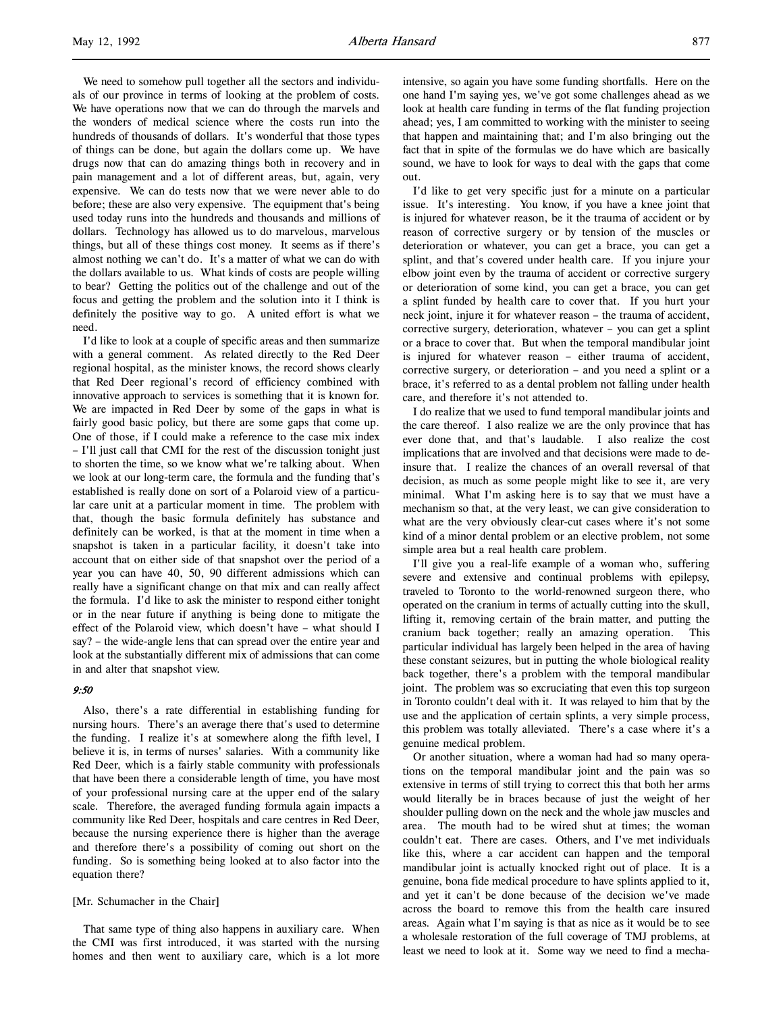We need to somehow pull together all the sectors and individuals of our province in terms of looking at the problem of costs. We have operations now that we can do through the marvels and the wonders of medical science where the costs run into the hundreds of thousands of dollars. It's wonderful that those types of things can be done, but again the dollars come up. We have drugs now that can do amazing things both in recovery and in pain management and a lot of different areas, but, again, very expensive. We can do tests now that we were never able to do before; these are also very expensive. The equipment that's being used today runs into the hundreds and thousands and millions of dollars. Technology has allowed us to do marvelous, marvelous things, but all of these things cost money. It seems as if there's almost nothing we can't do. It's a matter of what we can do with the dollars available to us. What kinds of costs are people willing to bear? Getting the politics out of the challenge and out of the focus and getting the problem and the solution into it I think is definitely the positive way to go. A united effort is what we need.

I'd like to look at a couple of specific areas and then summarize with a general comment. As related directly to the Red Deer regional hospital, as the minister knows, the record shows clearly that Red Deer regional's record of efficiency combined with innovative approach to services is something that it is known for. We are impacted in Red Deer by some of the gaps in what is fairly good basic policy, but there are some gaps that come up. One of those, if I could make a reference to the case mix index – I'll just call that CMI for the rest of the discussion tonight just to shorten the time, so we know what we're talking about. When we look at our long-term care, the formula and the funding that's established is really done on sort of a Polaroid view of a particular care unit at a particular moment in time. The problem with that, though the basic formula definitely has substance and definitely can be worked, is that at the moment in time when a snapshot is taken in a particular facility, it doesn't take into account that on either side of that snapshot over the period of a year you can have 40, 50, 90 different admissions which can really have a significant change on that mix and can really affect the formula. I'd like to ask the minister to respond either tonight or in the near future if anything is being done to mitigate the effect of the Polaroid view, which doesn't have – what should I say? – the wide-angle lens that can spread over the entire year and look at the substantially different mix of admissions that can come in and alter that snapshot view.

## 9:50

Also, there's a rate differential in establishing funding for nursing hours. There's an average there that's used to determine the funding. I realize it's at somewhere along the fifth level, I believe it is, in terms of nurses' salaries. With a community like Red Deer, which is a fairly stable community with professionals that have been there a considerable length of time, you have most of your professional nursing care at the upper end of the salary scale. Therefore, the averaged funding formula again impacts a community like Red Deer, hospitals and care centres in Red Deer, because the nursing experience there is higher than the average and therefore there's a possibility of coming out short on the funding. So is something being looked at to also factor into the equation there?

## [Mr. Schumacher in the Chair]

That same type of thing also happens in auxiliary care. When the CMI was first introduced, it was started with the nursing homes and then went to auxiliary care, which is a lot more intensive, so again you have some funding shortfalls. Here on the one hand I'm saying yes, we've got some challenges ahead as we look at health care funding in terms of the flat funding projection ahead; yes, I am committed to working with the minister to seeing that happen and maintaining that; and I'm also bringing out the fact that in spite of the formulas we do have which are basically sound, we have to look for ways to deal with the gaps that come out.

I'd like to get very specific just for a minute on a particular issue. It's interesting. You know, if you have a knee joint that is injured for whatever reason, be it the trauma of accident or by reason of corrective surgery or by tension of the muscles or deterioration or whatever, you can get a brace, you can get a splint, and that's covered under health care. If you injure your elbow joint even by the trauma of accident or corrective surgery or deterioration of some kind, you can get a brace, you can get a splint funded by health care to cover that. If you hurt your neck joint, injure it for whatever reason – the trauma of accident, corrective surgery, deterioration, whatever – you can get a splint or a brace to cover that. But when the temporal mandibular joint is injured for whatever reason – either trauma of accident, corrective surgery, or deterioration – and you need a splint or a brace, it's referred to as a dental problem not falling under health care, and therefore it's not attended to.

I do realize that we used to fund temporal mandibular joints and the care thereof. I also realize we are the only province that has ever done that, and that's laudable. I also realize the cost implications that are involved and that decisions were made to deinsure that. I realize the chances of an overall reversal of that decision, as much as some people might like to see it, are very minimal. What I'm asking here is to say that we must have a mechanism so that, at the very least, we can give consideration to what are the very obviously clear-cut cases where it's not some kind of a minor dental problem or an elective problem, not some simple area but a real health care problem.

I'll give you a real-life example of a woman who, suffering severe and extensive and continual problems with epilepsy, traveled to Toronto to the world-renowned surgeon there, who operated on the cranium in terms of actually cutting into the skull, lifting it, removing certain of the brain matter, and putting the cranium back together; really an amazing operation. This particular individual has largely been helped in the area of having these constant seizures, but in putting the whole biological reality back together, there's a problem with the temporal mandibular joint. The problem was so excruciating that even this top surgeon in Toronto couldn't deal with it. It was relayed to him that by the use and the application of certain splints, a very simple process, this problem was totally alleviated. There's a case where it's a genuine medical problem.

Or another situation, where a woman had had so many operations on the temporal mandibular joint and the pain was so extensive in terms of still trying to correct this that both her arms would literally be in braces because of just the weight of her shoulder pulling down on the neck and the whole jaw muscles and area. The mouth had to be wired shut at times; the woman couldn't eat. There are cases. Others, and I've met individuals like this, where a car accident can happen and the temporal mandibular joint is actually knocked right out of place. It is a genuine, bona fide medical procedure to have splints applied to it, and yet it can't be done because of the decision we've made across the board to remove this from the health care insured areas. Again what I'm saying is that as nice as it would be to see a wholesale restoration of the full coverage of TMJ problems, at least we need to look at it. Some way we need to find a mecha-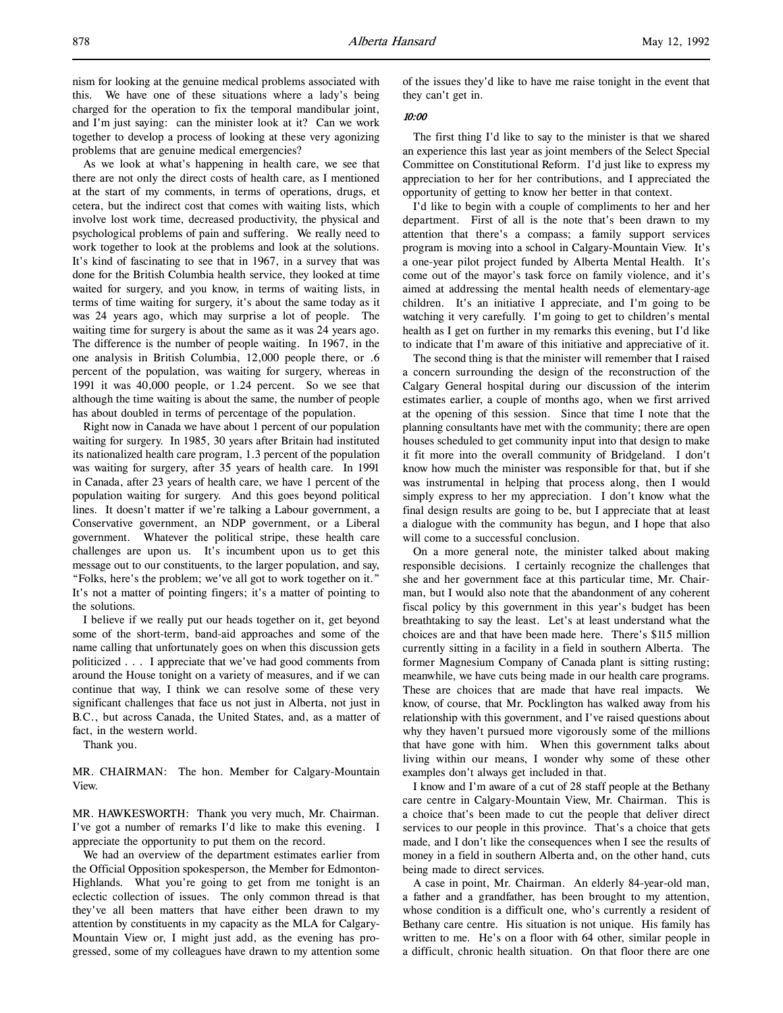As we look at what's happening in health care, we see that there are not only the direct costs of health care, as I mentioned at the start of my comments, in terms of operations, drugs, et cetera, but the indirect cost that comes with waiting lists, which involve lost work time, decreased productivity, the physical and psychological problems of pain and suffering. We really need to work together to look at the problems and look at the solutions. It's kind of fascinating to see that in 1967, in a survey that was done for the British Columbia health service, they looked at time waited for surgery, and you know, in terms of waiting lists, in terms of time waiting for surgery, it's about the same today as it was 24 years ago, which may surprise a lot of people. The waiting time for surgery is about the same as it was 24 years ago. The difference is the number of people waiting. In 1967, in the one analysis in British Columbia, 12,000 people there, or .6 percent of the population, was waiting for surgery, whereas in 1991 it was 40,000 people, or 1.24 percent. So we see that although the time waiting is about the same, the number of people has about doubled in terms of percentage of the population.

Right now in Canada we have about 1 percent of our population waiting for surgery. In 1985, 30 years after Britain had instituted its nationalized health care program, 1.3 percent of the population was waiting for surgery, after 35 years of health care. In 1991 in Canada, after 23 years of health care, we have 1 percent of the population waiting for surgery. And this goes beyond political lines. It doesn't matter if we're talking a Labour government, a Conservative government, an NDP government, or a Liberal government. Whatever the political stripe, these health care challenges are upon us. It's incumbent upon us to get this message out to our constituents, to the larger population, and say, "Folks, here's the problem; we've all got to work together on it." It's not a matter of pointing fingers; it's a matter of pointing to the solutions.

I believe if we really put our heads together on it, get beyond some of the short-term, band-aid approaches and some of the name calling that unfortunately goes on when this discussion gets politicized . . . I appreciate that we've had good comments from around the House tonight on a variety of measures, and if we can continue that way, I think we can resolve some of these very significant challenges that face us not just in Alberta, not just in B.C., but across Canada, the United States, and, as a matter of fact, in the western world.

Thank you.

MR. CHAIRMAN: The hon. Member for Calgary-Mountain View.

MR. HAWKESWORTH: Thank you very much, Mr. Chairman. I've got a number of remarks I'd like to make this evening. I appreciate the opportunity to put them on the record.

We had an overview of the department estimates earlier from the Official Opposition spokesperson, the Member for Edmonton-Highlands. What you're going to get from me tonight is an eclectic collection of issues. The only common thread is that they've all been matters that have either been drawn to my attention by constituents in my capacity as the MLA for Calgary-Mountain View or, I might just add, as the evening has progressed, some of my colleagues have drawn to my attention some

of the issues they'd like to have me raise tonight in the event that they can't get in.

## 10:00

The first thing I'd like to say to the minister is that we shared an experience this last year as joint members of the Select Special Committee on Constitutional Reform. I'd just like to express my appreciation to her for her contributions, and I appreciated the opportunity of getting to know her better in that context.

I'd like to begin with a couple of compliments to her and her department. First of all is the note that's been drawn to my attention that there's a compass; a family support services program is moving into a school in Calgary-Mountain View. It's a one-year pilot project funded by Alberta Mental Health. It's come out of the mayor's task force on family violence, and it's aimed at addressing the mental health needs of elementary-age children. It's an initiative I appreciate, and I'm going to be watching it very carefully. I'm going to get to children's mental health as I get on further in my remarks this evening, but I'd like to indicate that I'm aware of this initiative and appreciative of it.

The second thing is that the minister will remember that I raised a concern surrounding the design of the reconstruction of the Calgary General hospital during our discussion of the interim estimates earlier, a couple of months ago, when we first arrived at the opening of this session. Since that time I note that the planning consultants have met with the community; there are open houses scheduled to get community input into that design to make it fit more into the overall community of Bridgeland. I don't know how much the minister was responsible for that, but if she was instrumental in helping that process along, then I would simply express to her my appreciation. I don't know what the final design results are going to be, but I appreciate that at least a dialogue with the community has begun, and I hope that also will come to a successful conclusion.

On a more general note, the minister talked about making responsible decisions. I certainly recognize the challenges that she and her government face at this particular time, Mr. Chairman, but I would also note that the abandonment of any coherent fiscal policy by this government in this year's budget has been breathtaking to say the least. Let's at least understand what the choices are and that have been made here. There's \$115 million currently sitting in a facility in a field in southern Alberta. The former Magnesium Company of Canada plant is sitting rusting; meanwhile, we have cuts being made in our health care programs. These are choices that are made that have real impacts. We know, of course, that Mr. Pocklington has walked away from his relationship with this government, and I've raised questions about why they haven't pursued more vigorously some of the millions that have gone with him. When this government talks about living within our means, I wonder why some of these other examples don't always get included in that.

I know and I'm aware of a cut of 28 staff people at the Bethany care centre in Calgary-Mountain View, Mr. Chairman. This is a choice that's been made to cut the people that deliver direct services to our people in this province. That's a choice that gets made, and I don't like the consequences when I see the results of money in a field in southern Alberta and, on the other hand, cuts being made to direct services.

A case in point, Mr. Chairman. An elderly 84-year-old man, a father and a grandfather, has been brought to my attention, whose condition is a difficult one, who's currently a resident of Bethany care centre. His situation is not unique. His family has written to me. He's on a floor with 64 other, similar people in a difficult, chronic health situation. On that floor there are one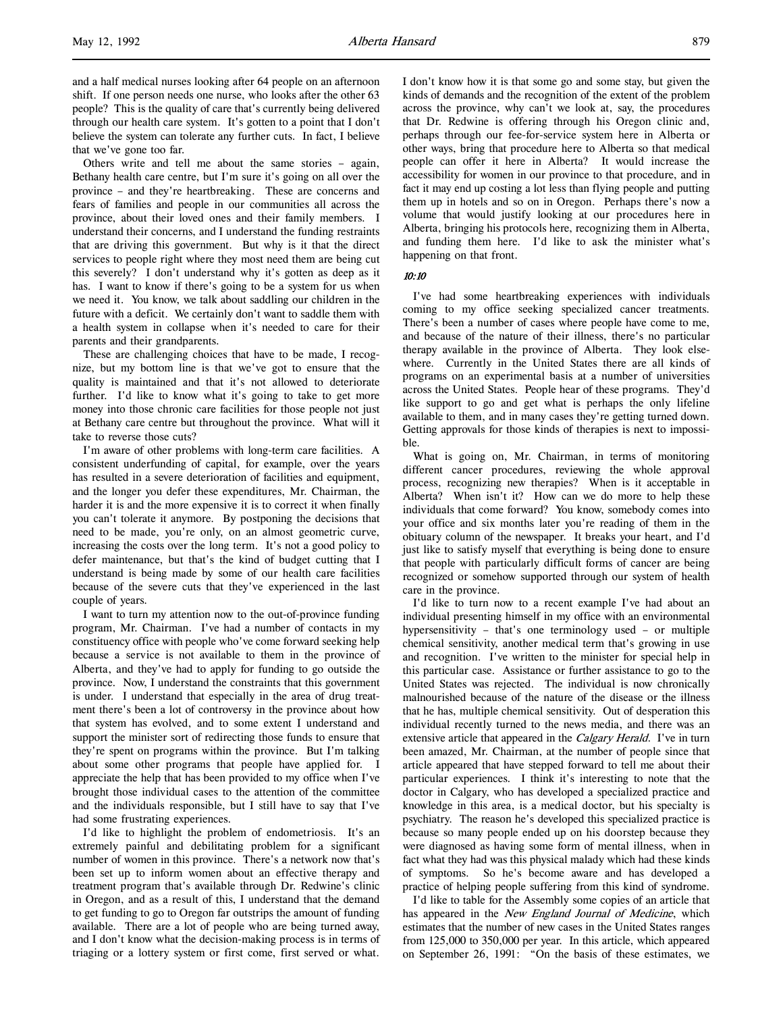and a half medical nurses looking after 64 people on an afternoon shift. If one person needs one nurse, who looks after the other 63 people? This is the quality of care that's currently being delivered through our health care system. It's gotten to a point that I don't believe the system can tolerate any further cuts. In fact, I believe that we've gone too far.

Others write and tell me about the same stories – again, Bethany health care centre, but I'm sure it's going on all over the province – and they're heartbreaking. These are concerns and fears of families and people in our communities all across the province, about their loved ones and their family members. I understand their concerns, and I understand the funding restraints that are driving this government. But why is it that the direct services to people right where they most need them are being cut this severely? I don't understand why it's gotten as deep as it has. I want to know if there's going to be a system for us when we need it. You know, we talk about saddling our children in the future with a deficit. We certainly don't want to saddle them with a health system in collapse when it's needed to care for their parents and their grandparents.

These are challenging choices that have to be made, I recognize, but my bottom line is that we've got to ensure that the quality is maintained and that it's not allowed to deteriorate further. I'd like to know what it's going to take to get more money into those chronic care facilities for those people not just at Bethany care centre but throughout the province. What will it take to reverse those cuts?

I'm aware of other problems with long-term care facilities. A consistent underfunding of capital, for example, over the years has resulted in a severe deterioration of facilities and equipment, and the longer you defer these expenditures, Mr. Chairman, the harder it is and the more expensive it is to correct it when finally you can't tolerate it anymore. By postponing the decisions that need to be made, you're only, on an almost geometric curve, increasing the costs over the long term. It's not a good policy to defer maintenance, but that's the kind of budget cutting that I understand is being made by some of our health care facilities because of the severe cuts that they've experienced in the last couple of years.

I want to turn my attention now to the out-of-province funding program, Mr. Chairman. I've had a number of contacts in my constituency office with people who've come forward seeking help because a service is not available to them in the province of Alberta, and they've had to apply for funding to go outside the province. Now, I understand the constraints that this government is under. I understand that especially in the area of drug treatment there's been a lot of controversy in the province about how that system has evolved, and to some extent I understand and support the minister sort of redirecting those funds to ensure that they're spent on programs within the province. But I'm talking about some other programs that people have applied for. I appreciate the help that has been provided to my office when I've brought those individual cases to the attention of the committee and the individuals responsible, but I still have to say that I've had some frustrating experiences.

I'd like to highlight the problem of endometriosis. It's an extremely painful and debilitating problem for a significant number of women in this province. There's a network now that's been set up to inform women about an effective therapy and treatment program that's available through Dr. Redwine's clinic in Oregon, and as a result of this, I understand that the demand to get funding to go to Oregon far outstrips the amount of funding available. There are a lot of people who are being turned away, and I don't know what the decision-making process is in terms of triaging or a lottery system or first come, first served or what.

I don't know how it is that some go and some stay, but given the kinds of demands and the recognition of the extent of the problem across the province, why can't we look at, say, the procedures that Dr. Redwine is offering through his Oregon clinic and, perhaps through our fee-for-service system here in Alberta or other ways, bring that procedure here to Alberta so that medical people can offer it here in Alberta? It would increase the accessibility for women in our province to that procedure, and in fact it may end up costing a lot less than flying people and putting them up in hotels and so on in Oregon. Perhaps there's now a volume that would justify looking at our procedures here in Alberta, bringing his protocols here, recognizing them in Alberta, and funding them here. I'd like to ask the minister what's happening on that front.

### 10:10

I've had some heartbreaking experiences with individuals coming to my office seeking specialized cancer treatments. There's been a number of cases where people have come to me, and because of the nature of their illness, there's no particular therapy available in the province of Alberta. They look elsewhere. Currently in the United States there are all kinds of programs on an experimental basis at a number of universities across the United States. People hear of these programs. They'd like support to go and get what is perhaps the only lifeline available to them, and in many cases they're getting turned down. Getting approvals for those kinds of therapies is next to impossible.

What is going on, Mr. Chairman, in terms of monitoring different cancer procedures, reviewing the whole approval process, recognizing new therapies? When is it acceptable in Alberta? When isn't it? How can we do more to help these individuals that come forward? You know, somebody comes into your office and six months later you're reading of them in the obituary column of the newspaper. It breaks your heart, and I'd just like to satisfy myself that everything is being done to ensure that people with particularly difficult forms of cancer are being recognized or somehow supported through our system of health care in the province.

I'd like to turn now to a recent example I've had about an individual presenting himself in my office with an environmental hypersensitivity – that's one terminology used – or multiple chemical sensitivity, another medical term that's growing in use and recognition. I've written to the minister for special help in this particular case. Assistance or further assistance to go to the United States was rejected. The individual is now chronically malnourished because of the nature of the disease or the illness that he has, multiple chemical sensitivity. Out of desperation this individual recently turned to the news media, and there was an extensive article that appeared in the Calgary Herald. I've in turn been amazed, Mr. Chairman, at the number of people since that article appeared that have stepped forward to tell me about their particular experiences. I think it's interesting to note that the doctor in Calgary, who has developed a specialized practice and knowledge in this area, is a medical doctor, but his specialty is psychiatry. The reason he's developed this specialized practice is because so many people ended up on his doorstep because they were diagnosed as having some form of mental illness, when in fact what they had was this physical malady which had these kinds of symptoms. So he's become aware and has developed a practice of helping people suffering from this kind of syndrome.

I'd like to table for the Assembly some copies of an article that has appeared in the New England Journal of Medicine, which estimates that the number of new cases in the United States ranges from 125,000 to 350,000 per year. In this article, which appeared on September 26, 1991: "On the basis of these estimates, we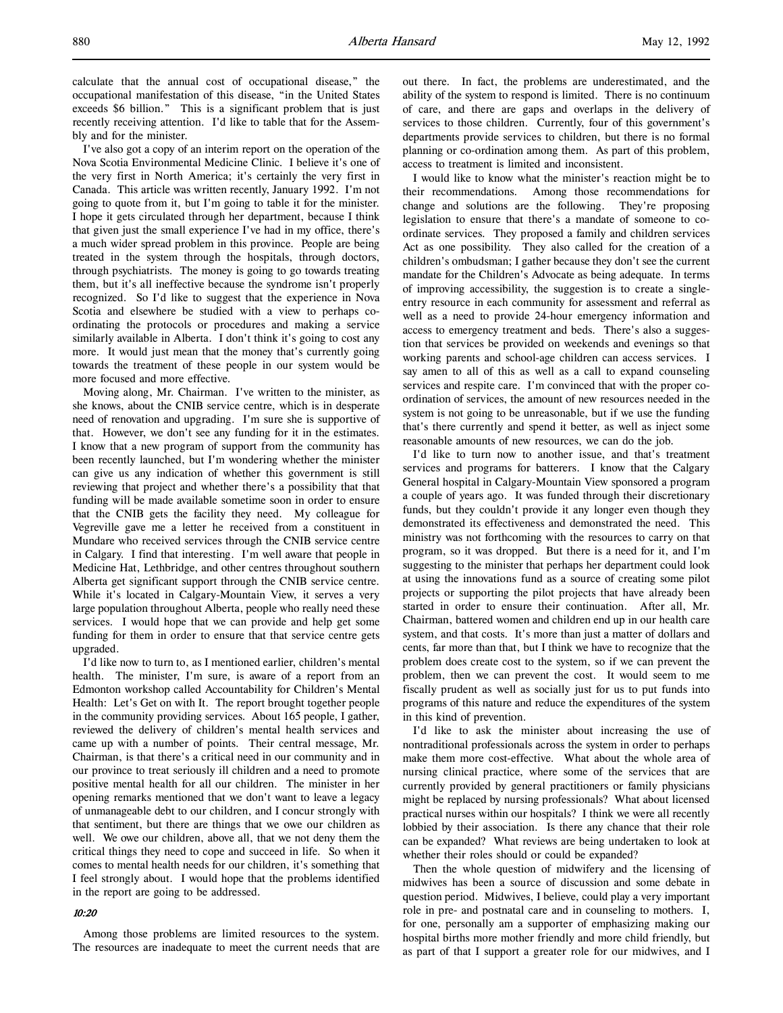I've also got a copy of an interim report on the operation of the Nova Scotia Environmental Medicine Clinic. I believe it's one of the very first in North America; it's certainly the very first in Canada. This article was written recently, January 1992. I'm not going to quote from it, but I'm going to table it for the minister. I hope it gets circulated through her department, because I think that given just the small experience I've had in my office, there's a much wider spread problem in this province. People are being treated in the system through the hospitals, through doctors, through psychiatrists. The money is going to go towards treating them, but it's all ineffective because the syndrome isn't properly recognized. So I'd like to suggest that the experience in Nova Scotia and elsewhere be studied with a view to perhaps coordinating the protocols or procedures and making a service similarly available in Alberta. I don't think it's going to cost any more. It would just mean that the money that's currently going towards the treatment of these people in our system would be more focused and more effective.

Moving along, Mr. Chairman. I've written to the minister, as she knows, about the CNIB service centre, which is in desperate need of renovation and upgrading. I'm sure she is supportive of that. However, we don't see any funding for it in the estimates. I know that a new program of support from the community has been recently launched, but I'm wondering whether the minister can give us any indication of whether this government is still reviewing that project and whether there's a possibility that that funding will be made available sometime soon in order to ensure that the CNIB gets the facility they need. My colleague for Vegreville gave me a letter he received from a constituent in Mundare who received services through the CNIB service centre in Calgary. I find that interesting. I'm well aware that people in Medicine Hat, Lethbridge, and other centres throughout southern Alberta get significant support through the CNIB service centre. While it's located in Calgary-Mountain View, it serves a very large population throughout Alberta, people who really need these services. I would hope that we can provide and help get some funding for them in order to ensure that that service centre gets upgraded.

I'd like now to turn to, as I mentioned earlier, children's mental health. The minister, I'm sure, is aware of a report from an Edmonton workshop called Accountability for Children's Mental Health: Let's Get on with It. The report brought together people in the community providing services. About 165 people, I gather, reviewed the delivery of children's mental health services and came up with a number of points. Their central message, Mr. Chairman, is that there's a critical need in our community and in our province to treat seriously ill children and a need to promote positive mental health for all our children. The minister in her opening remarks mentioned that we don't want to leave a legacy of unmanageable debt to our children, and I concur strongly with that sentiment, but there are things that we owe our children as well. We owe our children, above all, that we not deny them the critical things they need to cope and succeed in life. So when it comes to mental health needs for our children, it's something that I feel strongly about. I would hope that the problems identified in the report are going to be addressed.

## 10:20

Among those problems are limited resources to the system. The resources are inadequate to meet the current needs that are out there. In fact, the problems are underestimated, and the ability of the system to respond is limited. There is no continuum of care, and there are gaps and overlaps in the delivery of services to those children. Currently, four of this government's departments provide services to children, but there is no formal planning or co-ordination among them. As part of this problem, access to treatment is limited and inconsistent.

I would like to know what the minister's reaction might be to their recommendations. Among those recommendations for change and solutions are the following. They're proposing legislation to ensure that there's a mandate of someone to coordinate services. They proposed a family and children services Act as one possibility. They also called for the creation of a children's ombudsman; I gather because they don't see the current mandate for the Children's Advocate as being adequate. In terms of improving accessibility, the suggestion is to create a singleentry resource in each community for assessment and referral as well as a need to provide 24-hour emergency information and access to emergency treatment and beds. There's also a suggestion that services be provided on weekends and evenings so that working parents and school-age children can access services. I say amen to all of this as well as a call to expand counseling services and respite care. I'm convinced that with the proper coordination of services, the amount of new resources needed in the system is not going to be unreasonable, but if we use the funding that's there currently and spend it better, as well as inject some reasonable amounts of new resources, we can do the job.

I'd like to turn now to another issue, and that's treatment services and programs for batterers. I know that the Calgary General hospital in Calgary-Mountain View sponsored a program a couple of years ago. It was funded through their discretionary funds, but they couldn't provide it any longer even though they demonstrated its effectiveness and demonstrated the need. This ministry was not forthcoming with the resources to carry on that program, so it was dropped. But there is a need for it, and I'm suggesting to the minister that perhaps her department could look at using the innovations fund as a source of creating some pilot projects or supporting the pilot projects that have already been started in order to ensure their continuation. After all, Mr. Chairman, battered women and children end up in our health care system, and that costs. It's more than just a matter of dollars and cents, far more than that, but I think we have to recognize that the problem does create cost to the system, so if we can prevent the problem, then we can prevent the cost. It would seem to me fiscally prudent as well as socially just for us to put funds into programs of this nature and reduce the expenditures of the system in this kind of prevention.

I'd like to ask the minister about increasing the use of nontraditional professionals across the system in order to perhaps make them more cost-effective. What about the whole area of nursing clinical practice, where some of the services that are currently provided by general practitioners or family physicians might be replaced by nursing professionals? What about licensed practical nurses within our hospitals? I think we were all recently lobbied by their association. Is there any chance that their role can be expanded? What reviews are being undertaken to look at whether their roles should or could be expanded?

Then the whole question of midwifery and the licensing of midwives has been a source of discussion and some debate in question period. Midwives, I believe, could play a very important role in pre- and postnatal care and in counseling to mothers. I, for one, personally am a supporter of emphasizing making our hospital births more mother friendly and more child friendly, but as part of that I support a greater role for our midwives, and I